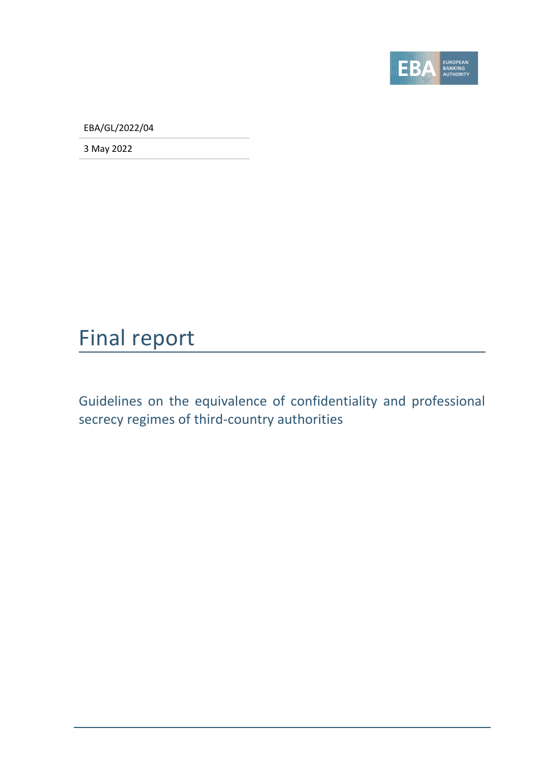

EBA/GL/2022/04

3 May 2022

# Final report

Guidelines on the equivalence of confidentiality and professional secrecy regimes of third-country authorities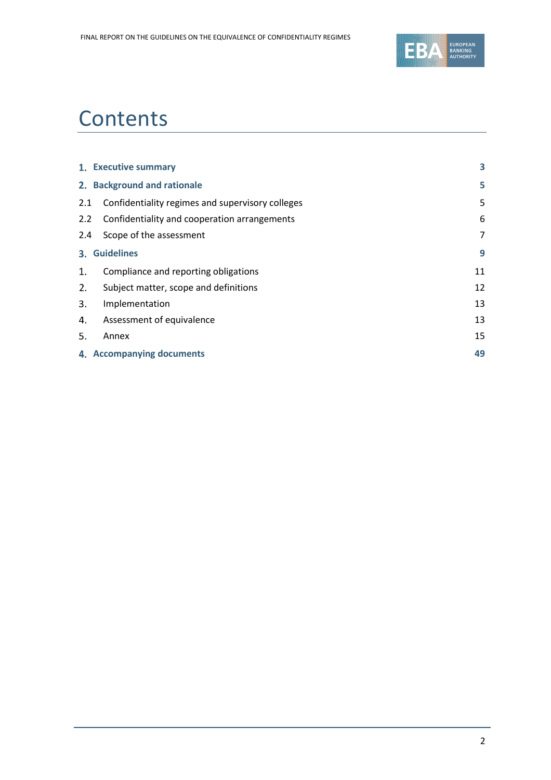

# **Contents**

|               | 1. Executive summary                             | 3  |
|---------------|--------------------------------------------------|----|
|               | 2. Background and rationale                      | 5  |
| 2.1           | Confidentiality regimes and supervisory colleges | 5  |
| $2.2^{\circ}$ | Confidentiality and cooperation arrangements     | 6  |
| 2.4           | Scope of the assessment                          | 7  |
|               | 3. Guidelines                                    | 9  |
| 1.            | Compliance and reporting obligations             | 11 |
| 2.            | Subject matter, scope and definitions            | 12 |
| 3.            | Implementation                                   | 13 |
| 4.            | Assessment of equivalence                        | 13 |
| 5.            | Annex                                            | 15 |
|               | 4. Accompanying documents                        | 49 |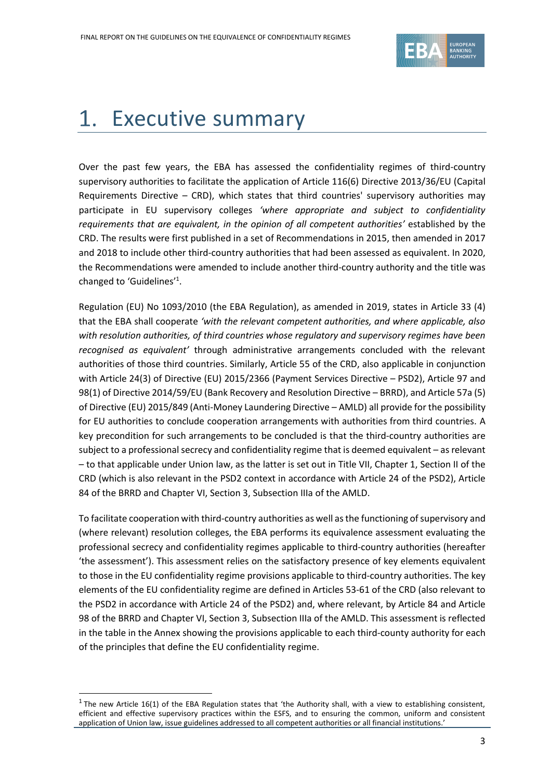

# <span id="page-2-0"></span>1. Executive summary

Over the past few years, the EBA has assessed the confidentiality regimes of third-country supervisory authorities to facilitate the application of Article 116(6) Directive 2013/36/EU (Capital Requirements Directive – CRD), which states that third countries' supervisory authorities may participate in EU supervisory colleges *'where appropriate and subject to confidentiality requirements that are equivalent, in the opinion of all competent authorities'* established by the CRD. The results were first published in a set of Recommendations in 2015, then amended in 2017 and 2018 to include other third-country authorities that had been assessed as equivalent. In 2020, the Recommendations were amended to include another third-country authority and the title was changed to 'Guidelines' 1 .

Regulation (EU) No 1093/2010 (the EBA Regulation), as amended in 2019, states in Article 33 (4) that the EBA shall cooperate *'with the relevant competent authorities, and where applicable, also with resolution authorities, of third countries whose regulatory and supervisory regimes have been recognised as equivalent'* through administrative arrangements concluded with the relevant authorities of those third countries. Similarly, Article 55 of the CRD, also applicable in conjunction with Article 24(3) of Directive (EU) 2015/2366 (Payment Services Directive – PSD2), Article 97 and 98(1) of Directive 2014/59/EU (Bank Recovery and Resolution Directive – BRRD), and Article 57a (5) of Directive (EU) 2015/849 (Anti-Money Laundering Directive – AMLD) all provide for the possibility for EU authorities to conclude cooperation arrangements with authorities from third countries. A key precondition for such arrangements to be concluded is that the third-country authorities are subject to a professional secrecy and confidentiality regime that is deemed equivalent – as relevant – to that applicable under Union law, as the latter is set out in Title VII, Chapter 1, Section II of the CRD (which is also relevant in the PSD2 context in accordance with Article 24 of the PSD2), Article 84 of the BRRD and Chapter VI, Section 3, Subsection IIIa of the AMLD.

To facilitate cooperation with third-country authorities as well as the functioning of supervisory and (where relevant) resolution colleges, the EBA performs its equivalence assessment evaluating the professional secrecy and confidentiality regimes applicable to third-country authorities (hereafter 'the assessment'). This assessment relies on the satisfactory presence of key elements equivalent to those in the EU confidentiality regime provisions applicable to third-country authorities. The key elements of the EU confidentiality regime are defined in Articles 53-61 of the CRD (also relevant to the PSD2 in accordance with Article 24 of the PSD2) and, where relevant, by Article 84 and Article 98 of the BRRD and Chapter VI, Section 3, Subsection IIIa of the AMLD. This assessment is reflected in the table in the Annex showing the provisions applicable to each third-county authority for each of the principles that define the EU confidentiality regime.

 $1$  The new Article 16(1) of the EBA Regulation states that 'the Authority shall, with a view to establishing consistent, efficient and effective supervisory practices within the ESFS, and to ensuring the common, uniform and consistent application of Union law, issue guidelines addressed to all competent authorities or all financial institutions.'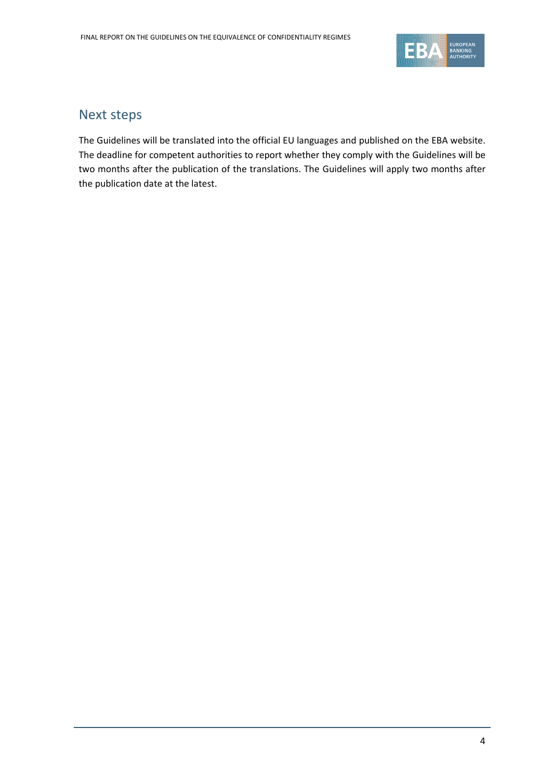

#### Next steps

The Guidelines will be translated into the official EU languages and published on the EBA website. The deadline for competent authorities to report whether they comply with the Guidelines will be two months after the publication of the translations. The Guidelines will apply two months after the publication date at the latest.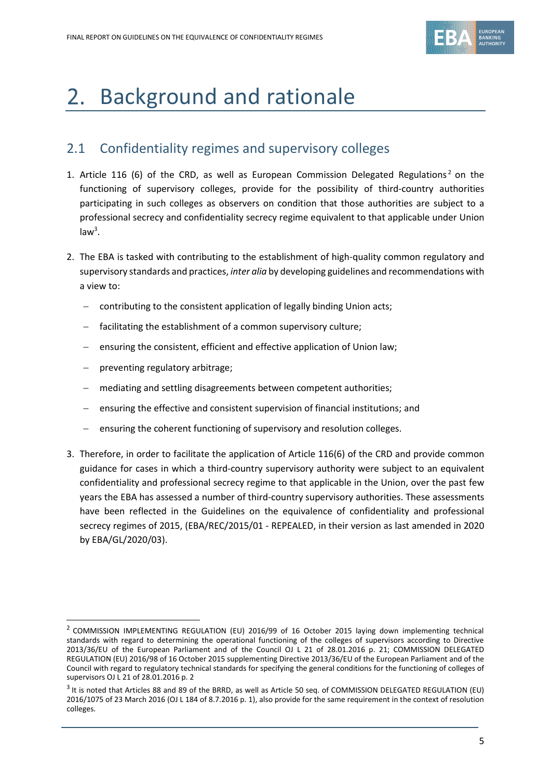#### <span id="page-4-0"></span>Background and rationale  $2.$

#### <span id="page-4-1"></span>2.1 Confidentiality regimes and supervisory colleges

- 1. Article 116 (6) of the CRD, as well as European Commission Delegated Regulations<sup>2</sup> on the functioning of supervisory colleges, provide for the possibility of third-country authorities participating in such colleges as observers on condition that those authorities are subject to a professional secrecy and confidentiality secrecy regime equivalent to that applicable under Union  $law<sup>3</sup>$ .
- 2. The EBA is tasked with contributing to the establishment of high-quality common regulatory and supervisory standards and practices, *inter alia* by developing guidelines and recommendations with a view to:
	- contributing to the consistent application of legally binding Union acts;
	- facilitating the establishment of a common supervisory culture;
	- ensuring the consistent, efficient and effective application of Union law;
	- − preventing regulatory arbitrage;
	- − mediating and settling disagreements between competent authorities;
	- − ensuring the effective and consistent supervision of financial institutions; and
	- ensuring the coherent functioning of supervisory and resolution colleges.
- 3. Therefore, in order to facilitate the application of Article 116(6) of the CRD and provide common guidance for cases in which a third-country supervisory authority were subject to an equivalent confidentiality and professional secrecy regime to that applicable in the Union, over the past few years the EBA has assessed a number of third-country supervisory authorities. These assessments have been reflected in the Guidelines on the equivalence of confidentiality and professional secrecy regimes of 2015, (EBA/REC/2015/01 - REPEALED, in their version as last amended in 2020 by EBA/GL/2020/03).

<sup>&</sup>lt;sup>2</sup> COMMISSION IMPLEMENTING REGULATION (EU) 2016/99 of 16 October 2015 laying down implementing technical standards with regard to determining the operational functioning of the colleges of supervisors according to Directive 2013/36/EU of the European Parliament and of the Council OJ L 21 of 28.01.2016 p. 21; COMMISSION DELEGATED REGULATION (EU) 2016/98 of 16 October 2015 supplementing Directive 2013/36/EU of the European Parliament and of the Council with regard to regulatory technical standards for specifying the general conditions for the functioning of colleges of supervisors OJ L 21 of 28.01.2016 p. 2

 $3$  It is noted that Articles 88 and 89 of the BRRD, as well as Article 50 seq. of COMMISSION DELEGATED REGULATION (EU) 2016/1075 of 23 March 2016 (OJ L 184 of 8.7.2016 p. 1), also provide for the same requirement in the context of resolution colleges.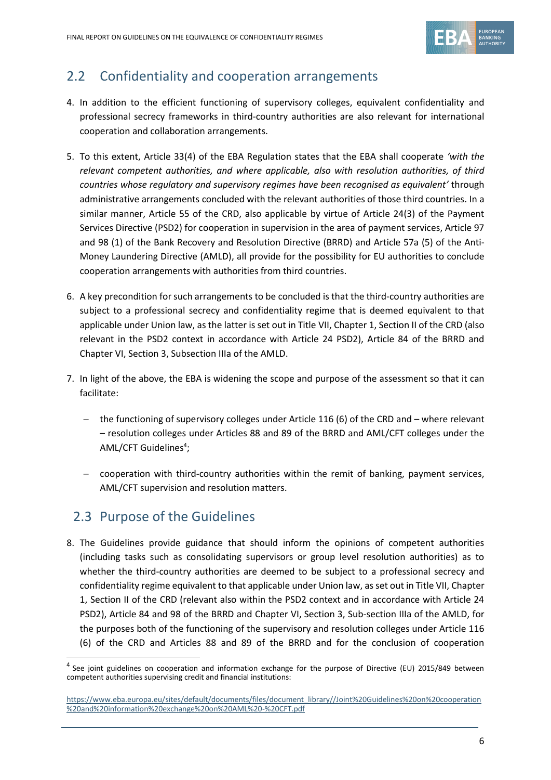

## <span id="page-5-0"></span>2.2 Confidentiality and cooperation arrangements

- 4. In addition to the efficient functioning of supervisory colleges, equivalent confidentiality and professional secrecy frameworks in third-country authorities are also relevant for international cooperation and collaboration arrangements.
- 5. To this extent, Article 33(4) of the EBA Regulation states that the EBA shall cooperate *'with the relevant competent authorities, and where applicable, also with resolution authorities, of third countries whose regulatory and supervisory regimes have been recognised as equivalent'* through administrative arrangements concluded with the relevant authorities of those third countries. In a similar manner, Article 55 of the CRD, also applicable by virtue of Article 24(3) of the Payment Services Directive (PSD2) for cooperation in supervision in the area of payment services, Article 97 and 98 (1) of the Bank Recovery and Resolution Directive (BRRD) and Article 57a (5) of the Anti-Money Laundering Directive (AMLD), all provide for the possibility for EU authorities to conclude cooperation arrangements with authorities from third countries.
- 6. A key precondition for such arrangements to be concluded is that the third-country authorities are subject to a professional secrecy and confidentiality regime that is deemed equivalent to that applicable under Union law, as the latter is set out in Title VII, Chapter 1, Section II of the CRD (also relevant in the PSD2 context in accordance with Article 24 PSD2), Article 84 of the BRRD and Chapter VI, Section 3, Subsection IIIa of the AMLD.
- 7. In light of the above, the EBA is widening the scope and purpose of the assessment so that it can facilitate:
	- − the functioning of supervisory colleges under Article 116 (6) of the CRD and where relevant – resolution colleges under Articles 88 and 89 of the BRRD and AML/CFT colleges under the AML/CFT Guidelines<sup>4</sup>;
	- − cooperation with third-country authorities within the remit of banking, payment services, AML/CFT supervision and resolution matters.

## 2.3 Purpose of the Guidelines

8. The Guidelines provide guidance that should inform the opinions of competent authorities (including tasks such as consolidating supervisors or group level resolution authorities) as to whether the third-country authorities are deemed to be subject to a professional secrecy and confidentiality regime equivalent to that applicable under Union law, as set out in Title VII, Chapter 1, Section II of the CRD (relevant also within the PSD2 context and in accordance with Article 24 PSD2), Article 84 and 98 of the BRRD and Chapter VI, Section 3, Sub-section IIIa of the AMLD, for the purposes both of the functioning of the supervisory and resolution colleges under Article 116 (6) of the CRD and Articles 88 and 89 of the BRRD and for the conclusion of cooperation

<sup>&</sup>lt;sup>4</sup> See joint guidelines on cooperation and information exchange for the purpose of Directive (EU) 2015/849 between competent authorities supervising credit and financial institutions:

[https://www.eba.europa.eu/sites/default/documents/files/document\\_library//Joint%20Guidelines%20on%20cooperation](https://www.eba.europa.eu/sites/default/documents/files/document_library/Joint%20Guidelines%20on%20cooperation%20and%20information%20exchange%20on%20AML%20-%20CFT.pdf) [%20and%20information%20exchange%20on%20AML%20-%20CFT.pdf](https://www.eba.europa.eu/sites/default/documents/files/document_library/Joint%20Guidelines%20on%20cooperation%20and%20information%20exchange%20on%20AML%20-%20CFT.pdf)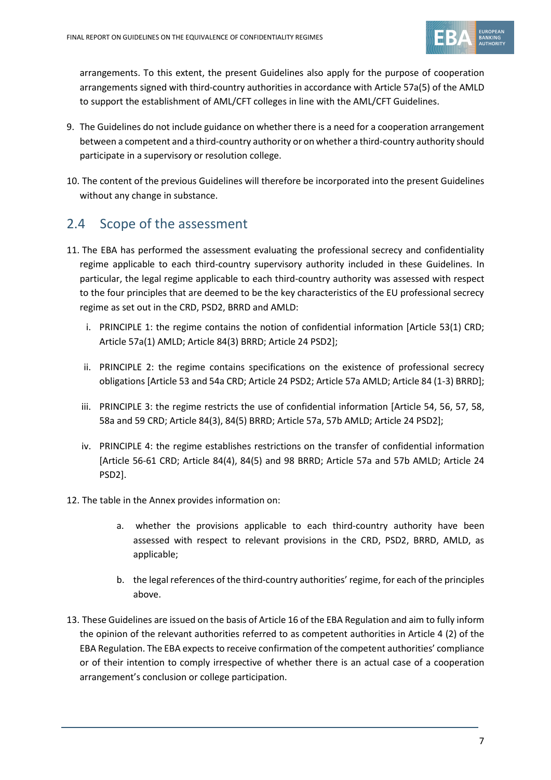

arrangements. To this extent, the present Guidelines also apply for the purpose of cooperation arrangements signed with third-country authorities in accordance with Article 57a(5) of the AMLD to support the establishment of AML/CFT colleges in line with the AML/CFT Guidelines.

- 9. The Guidelines do not include guidance on whether there is a need for a cooperation arrangement between a competent and a third-country authority or on whether a third-country authority should participate in a supervisory or resolution college.
- 10. The content of the previous Guidelines will therefore be incorporated into the present Guidelines without any change in substance.

## <span id="page-6-0"></span>2.4 Scope of the assessment

- 11. The EBA has performed the assessment evaluating the professional secrecy and confidentiality regime applicable to each third-country supervisory authority included in these Guidelines. In particular, the legal regime applicable to each third-country authority was assessed with respect to the four principles that are deemed to be the key characteristics of the EU professional secrecy regime as set out in the CRD, PSD2, BRRD and AMLD:
	- i. PRINCIPLE 1: the regime contains the notion of confidential information [Article 53(1) CRD; Article 57a(1) AMLD; Article 84(3) BRRD; Article 24 PSD2];
	- ii. PRINCIPLE 2: the regime contains specifications on the existence of professional secrecy obligations [Article 53 and 54a CRD; Article 24 PSD2; Article 57a AMLD; Article 84 (1-3) BRRD];
	- iii. PRINCIPLE 3: the regime restricts the use of confidential information [Article 54, 56, 57, 58, 58a and 59 CRD; Article 84(3), 84(5) BRRD; Article 57a, 57b AMLD; Article 24 PSD2];
	- iv. PRINCIPLE 4: the regime establishes restrictions on the transfer of confidential information [Article 56-61 CRD; Article 84(4), 84(5) and 98 BRRD; Article 57a and 57b AMLD; Article 24 PSD2].
- 12. The table in the Annex provides information on:
	- a. whether the provisions applicable to each third-country authority have been assessed with respect to relevant provisions in the CRD, PSD2, BRRD, AMLD, as applicable;
	- b. the legal references of the third-country authorities' regime, for each of the principles above.
- 13. These Guidelines are issued on the basis of Article 16 of the EBA Regulation and aim to fully inform the opinion of the relevant authorities referred to as competent authorities in Article 4 (2) of the EBA Regulation. The EBA expects to receive confirmation of the competent authorities' compliance or of their intention to comply irrespective of whether there is an actual case of a cooperation arrangement's conclusion or college participation.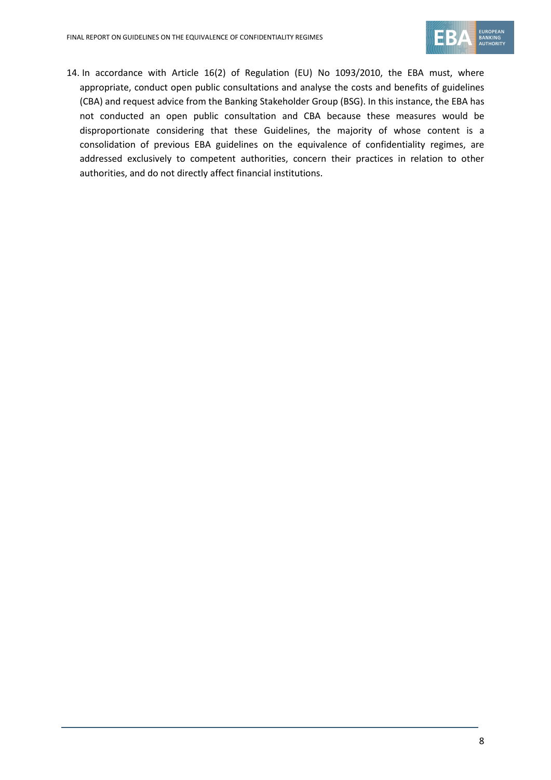

14. In accordance with Article 16(2) of Regulation (EU) No 1093/2010, the EBA must, where appropriate, conduct open public consultations and analyse the costs and benefits of guidelines (CBA) and request advice from the Banking Stakeholder Group (BSG). In this instance, the EBA has not conducted an open public consultation and CBA because these measures would be disproportionate considering that these Guidelines, the majority of whose content is a consolidation of previous EBA guidelines on the equivalence of confidentiality regimes, are addressed exclusively to competent authorities, concern their practices in relation to other authorities, and do not directly affect financial institutions.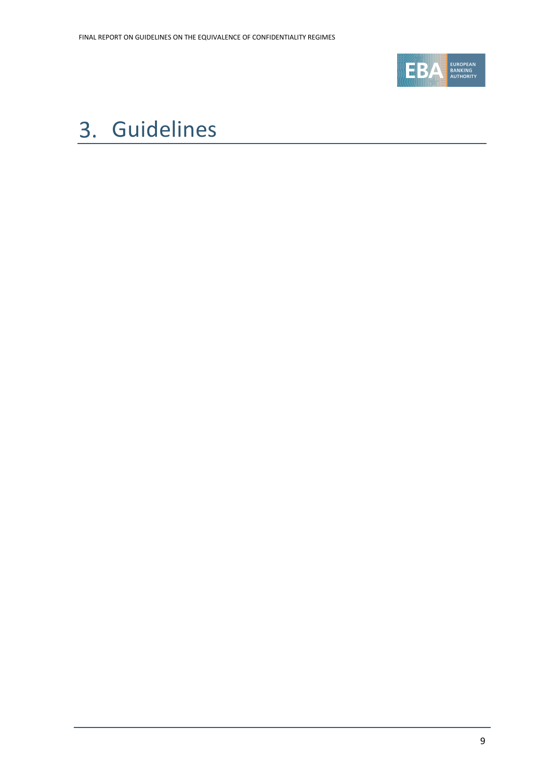

# <span id="page-8-0"></span>3. Guidelines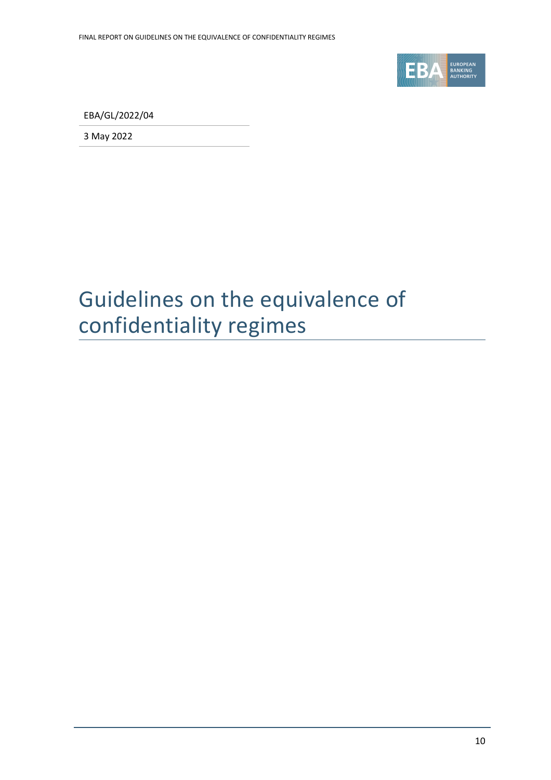

EBA/GL/2022/04

3 May 2022

# Guidelines on the equivalence of confidentiality regimes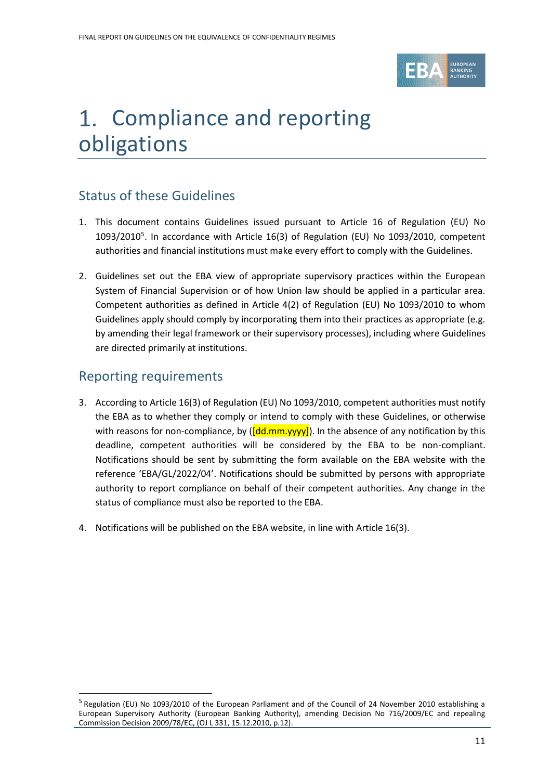

# <span id="page-10-0"></span>1. Compliance and reporting obligations

## Status of these Guidelines

- 1. This document contains Guidelines issued pursuant to Article 16 of Regulation (EU) No 1093/2010<sup>5</sup>. In accordance with Article 16(3) of Regulation (EU) No 1093/2010, competent authorities and financial institutions must make every effort to comply with the Guidelines.
- 2. Guidelines set out the EBA view of appropriate supervisory practices within the European System of Financial Supervision or of how Union law should be applied in a particular area. Competent authorities as defined in Article 4(2) of Regulation (EU) No 1093/2010 to whom Guidelines apply should comply by incorporating them into their practices as appropriate (e.g. by amending their legal framework or their supervisory processes), including where Guidelines are directed primarily at institutions.

### Reporting requirements

- 3. According to Article 16(3) of Regulation (EU) No 1093/2010, competent authorities must notify the EBA as to whether they comply or intend to comply with these Guidelines, or otherwise with reasons for non-compliance, by  $(\frac{dd \cdot m \cdot y \cdot y \cdot y}{d \cdot h \cdot y \cdot y})$ . In the absence of any notification by this deadline, competent authorities will be considered by the EBA to be non-compliant. Notifications should be sent by submitting the form available on the EBA website with the reference 'EBA/GL/2022/04'. Notifications should be submitted by persons with appropriate authority to report compliance on behalf of their competent authorities. Any change in the status of compliance must also be reported to the EBA.
- 4. Notifications will be published on the EBA website, in line with Article 16(3).

<sup>&</sup>lt;sup>5</sup> Regulation (EU) No 1093/2010 of the European Parliament and of the Council of 24 November 2010 establishing a European Supervisory Authority (European Banking Authority), amending Decision No 716/2009/EC and repealing Commission Decision 2009/78/EC, (OJ L 331, 15.12.2010, p.12).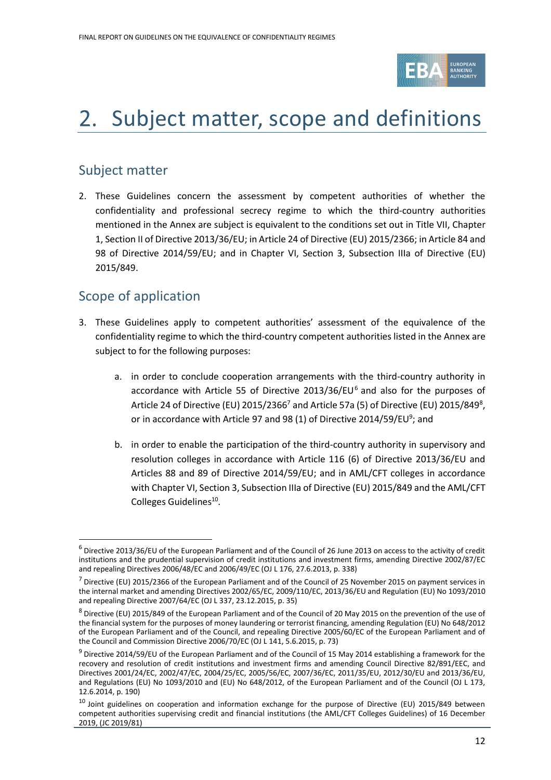

# <span id="page-11-0"></span>2. Subject matter, scope and definitions

### Subject matter

2. These Guidelines concern the assessment by competent authorities of whether the confidentiality and professional secrecy regime to which the third-country authorities mentioned in the Annex are subject is equivalent to the conditions set out in Title VII, Chapter 1, Section II of Directive 2013/36/EU; in Article 24 of Directive (EU) 2015/2366; in Article 84 and 98 of Directive 2014/59/EU; and in Chapter VI, Section 3, Subsection IIIa of Directive (EU) 2015/849.

### Scope of application

- 3. These Guidelines apply to competent authorities' assessment of the equivalence of the confidentiality regime to which the third-country competent authorities listed in the Annex are subject to for the following purposes:
	- a. in order to conclude cooperation arrangements with the third-country authority in accordance with Article 55 of Directive 2013/36/EU $<sup>6</sup>$  and also for the purposes of</sup> Article 24 of Directive (EU) 2015/2366<sup>7</sup> and Article 57a (5) of Directive (EU) 2015/849 $^{\rm 8}$ , or in accordance with Article 97 and 98 (1) of Directive 2014/59/EU<sup>9</sup>; and
	- b. in order to enable the participation of the third-country authority in supervisory and resolution colleges in accordance with Article 116 (6) of Directive 2013/36/EU and Articles 88 and 89 of Directive 2014/59/EU; and in AML/CFT colleges in accordance with Chapter VI, Section 3, Subsection IIIa of Directive (EU) 2015/849 and the AML/CFT Colleges Guidelines<sup>10</sup>.

 $6$  Directive 2013/36/EU of the European Parliament and of the Council of 26 June 2013 on access to the activity of credit institutions and the prudential supervision of credit institutions and investment firms, amending Directive 2002/87/EC and repealing Directives 2006/48/EC and 2006/49/EC (OJ L 176, 27.6.2013, p. 338)

<sup>&</sup>lt;sup>7</sup> Directive (EU) 2015/2366 of the European Parliament and of the Council of 25 November 2015 on payment services in the internal market and amending Directives 2002/65/EC, 2009/110/EC, 2013/36/EU and Regulation (EU) No 1093/2010 and repealing Directive 2007/64/EC (OJ L 337, 23.12.2015, p. 35)

<sup>8</sup> Directive (EU) 2015/849 of the European Parliament and of the Council of 20 May 2015 on the prevention of the use of the financial system for the purposes of money laundering or terrorist financing, amending Regulation (EU) No 648/2012 of the European Parliament and of the Council, and repealing Directive 2005/60/EC of the European Parliament and of the Council and Commission Directive 2006/70/EC (OJ L 141, 5.6.2015, p. 73)

 $9$  Directive 2014/59/EU of the European Parliament and of the Council of 15 May 2014 establishing a framework for the recovery and resolution of credit institutions and investment firms and amending Council Directive 82/891/EEC, and Directives 2001/24/EC, 2002/47/EC, 2004/25/EC, 2005/56/EC, 2007/36/EC, 2011/35/EU, 2012/30/EU and 2013/36/EU, and Regulations (EU) No 1093/2010 and (EU) No 648/2012, of the European Parliament and of the Council (OJ L 173, 12.6.2014, p. 190)

<sup>&</sup>lt;sup>10</sup> Joint guidelines on cooperation and information exchange for the purpose of Directive (EU) 2015/849 between competent authorities supervising credit and financial institutions (the AML/CFT Colleges Guidelines) of 16 December 2019, (JC 2019/81)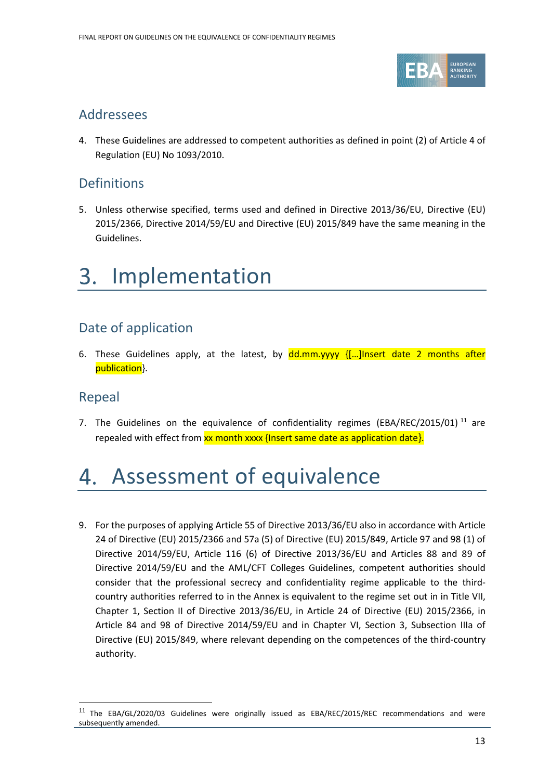

#### Addressees

4. These Guidelines are addressed to competent authorities as defined in point (2) of Article 4 of Regulation (EU) No 1093/2010.

### Definitions

5. Unless otherwise specified, terms used and defined in Directive 2013/36/EU, Directive (EU) 2015/2366, Directive 2014/59/EU and Directive (EU) 2015/849 have the same meaning in the Guidelines.

#### <span id="page-12-0"></span>Implementation 3.

## Date of application

6. These Guidelines apply, at the latest, by  $ddmm.$ yyy  $\{$ [...]Insert date 2 months after publication}.

#### Repeal

7. The Guidelines on the equivalence of confidentiality regimes (EBA/REC/2015/01)<sup>11</sup> are repealed with effect from xx month xxxx {Insert same date as application date}.

#### <span id="page-12-1"></span>Assessment of equivalence 4.

9. For the purposes of applying Article 55 of Directive 2013/36/EU also in accordance with Article 24 of Directive (EU) 2015/2366 and 57a (5) of Directive (EU) 2015/849, Article 97 and 98 (1) of Directive 2014/59/EU, Article 116 (6) of Directive 2013/36/EU and Articles 88 and 89 of Directive 2014/59/EU and the AML/CFT Colleges Guidelines, competent authorities should consider that the professional secrecy and confidentiality regime applicable to the thirdcountry authorities referred to in the Annex is equivalent to the regime set out in in Title VII, Chapter 1, Section II of Directive 2013/36/EU, in Article 24 of Directive (EU) 2015/2366, in Article 84 and 98 of Directive 2014/59/EU and in Chapter VI, Section 3, Subsection IIIa of Directive (EU) 2015/849, where relevant depending on the competences of the third-country authority.

<sup>&</sup>lt;sup>11</sup> The EBA/GL/2020/03 Guidelines were originally issued as EBA/REC/2015/REC recommendations and were subsequently amended.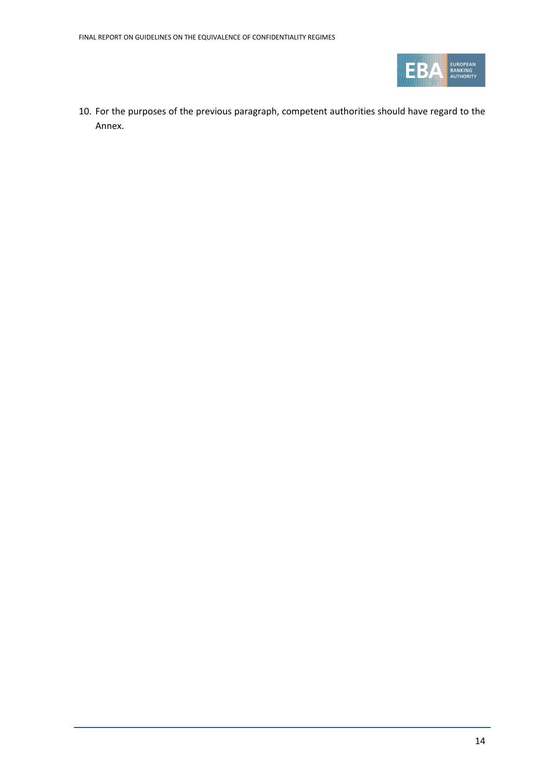

10. For the purposes of the previous paragraph, competent authorities should have regard to the Annex.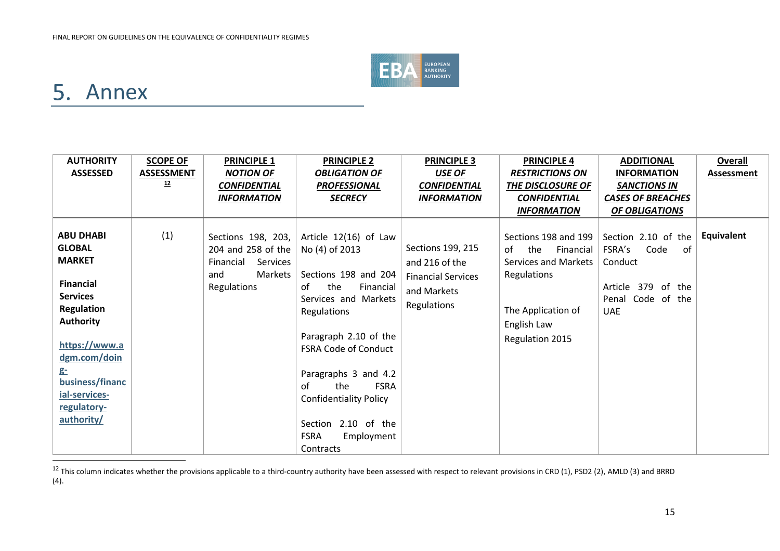

# 5. Annex

| <b>AUTHORITY</b><br><b>ASSESSED</b>                                                                                                                                                                                                             | <b>SCOPE OF</b><br><b>ASSESSMENT</b><br>12 | <b>PRINCIPLE 1</b><br><b>NOTION OF</b><br><b>CONFIDENTIAL</b><br><b>INFORMATION</b>                | <b>PRINCIPLE 2</b><br><b>OBLIGATION OF</b><br><b>PROFESSIONAL</b><br><b>SECRECY</b>                                                                                                                                                                                                                                                            | <b>PRINCIPLE 3</b><br><b>USE OF</b><br><b>CONFIDENTIAL</b><br><b>INFORMATION</b>               | <b>PRINCIPLE 4</b><br><b>RESTRICTIONS ON</b><br>THE DISCLOSURE OF<br><b>CONFIDENTIAL</b><br><b>INFORMATION</b>                                | <b>ADDITIONAL</b><br><b>INFORMATION</b><br><b>SANCTIONS IN</b><br><b>CASES OF BREACHES</b><br>OF OBLIGATIONS       | <b>Overall</b><br>Assessment |
|-------------------------------------------------------------------------------------------------------------------------------------------------------------------------------------------------------------------------------------------------|--------------------------------------------|----------------------------------------------------------------------------------------------------|------------------------------------------------------------------------------------------------------------------------------------------------------------------------------------------------------------------------------------------------------------------------------------------------------------------------------------------------|------------------------------------------------------------------------------------------------|-----------------------------------------------------------------------------------------------------------------------------------------------|--------------------------------------------------------------------------------------------------------------------|------------------------------|
| <b>ABU DHABI</b><br><b>GLOBAL</b><br><b>MARKET</b><br><b>Financial</b><br><b>Services</b><br><b>Regulation</b><br><b>Authority</b><br>https://www.a<br>dgm.com/doin<br>$g_{-}$<br>business/financ<br>ial-services-<br>regulatory-<br>authority/ | (1)                                        | Sections 198, 203,<br>204 and 258 of the<br>Services<br>Financial<br>Markets<br>and<br>Regulations | Article 12(16) of Law<br>No (4) of 2013<br>Sections 198 and 204<br>the<br>of<br>Financial<br>Services and Markets<br>Regulations<br>Paragraph 2.10 of the<br><b>FSRA Code of Conduct</b><br>Paragraphs 3 and 4.2<br><b>FSRA</b><br>of<br>the<br><b>Confidentiality Policy</b><br>Section 2.10 of the<br><b>FSRA</b><br>Employment<br>Contracts | Sections 199, 215<br>and 216 of the<br><b>Financial Services</b><br>and Markets<br>Regulations | Sections 198 and 199<br>the<br>of<br>Financial<br>Services and Markets<br>Regulations<br>The Application of<br>English Law<br>Regulation 2015 | Section 2.10 of the<br>FSRA's<br>Code<br>of<br>Conduct<br>Article 379<br>of the<br>Penal Code of the<br><b>UAE</b> | Equivalent                   |

<span id="page-14-0"></span> $12$  This column indicates whether the provisions applicable to a third-country authority have been assessed with respect to relevant provisions in CRD (1), PSD2 (2), AMLD (3) and BRRD (4).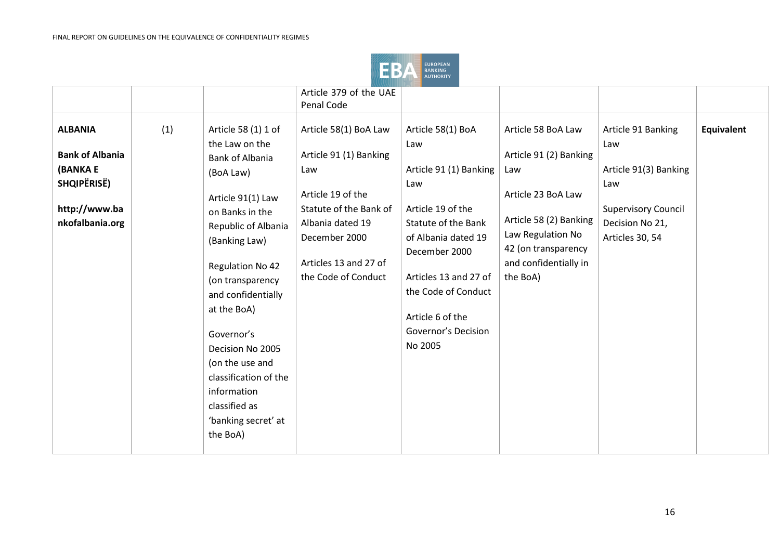

|                                                                            |     |                                                                                                                                                                                                                                                                                                                   | Article 379 of the UAE                                                                                                           |                                                                                                                                                                                        |                                                                                                                               |                                                                  |            |
|----------------------------------------------------------------------------|-----|-------------------------------------------------------------------------------------------------------------------------------------------------------------------------------------------------------------------------------------------------------------------------------------------------------------------|----------------------------------------------------------------------------------------------------------------------------------|----------------------------------------------------------------------------------------------------------------------------------------------------------------------------------------|-------------------------------------------------------------------------------------------------------------------------------|------------------------------------------------------------------|------------|
|                                                                            |     |                                                                                                                                                                                                                                                                                                                   | Penal Code                                                                                                                       |                                                                                                                                                                                        |                                                                                                                               |                                                                  |            |
|                                                                            |     |                                                                                                                                                                                                                                                                                                                   |                                                                                                                                  |                                                                                                                                                                                        |                                                                                                                               |                                                                  |            |
| <b>ALBANIA</b><br><b>Bank of Albania</b><br>(BANKA E<br><b>SHQIPËRISË)</b> | (1) | Article 58 (1) 1 of<br>the Law on the<br>Bank of Albania<br>(BoA Law)                                                                                                                                                                                                                                             | Article 58(1) BoA Law<br>Article 91 (1) Banking<br>Law                                                                           | Article 58(1) BoA<br>Law<br>Article 91 (1) Banking<br>Law                                                                                                                              | Article 58 BoA Law<br>Article 91 (2) Banking<br>Law                                                                           | Article 91 Banking<br>Law<br>Article 91(3) Banking<br>Law        | Equivalent |
|                                                                            |     |                                                                                                                                                                                                                                                                                                                   |                                                                                                                                  |                                                                                                                                                                                        |                                                                                                                               |                                                                  |            |
| http://www.ba<br>nkofalbania.org                                           |     | Article 91(1) Law<br>on Banks in the<br>Republic of Albania<br>(Banking Law)<br><b>Regulation No 42</b><br>(on transparency<br>and confidentially<br>at the BoA)<br>Governor's<br>Decision No 2005<br>(on the use and<br>classification of the<br>information<br>classified as<br>'banking secret' at<br>the BoA) | Article 19 of the<br>Statute of the Bank of<br>Albania dated 19<br>December 2000<br>Articles 13 and 27 of<br>the Code of Conduct | Article 19 of the<br>Statute of the Bank<br>of Albania dated 19<br>December 2000<br>Articles 13 and 27 of<br>the Code of Conduct<br>Article 6 of the<br>Governor's Decision<br>No 2005 | Article 23 BoA Law<br>Article 58 (2) Banking<br>Law Regulation No<br>42 (on transparency<br>and confidentially in<br>the BoA) | <b>Supervisory Council</b><br>Decision No 21,<br>Articles 30, 54 |            |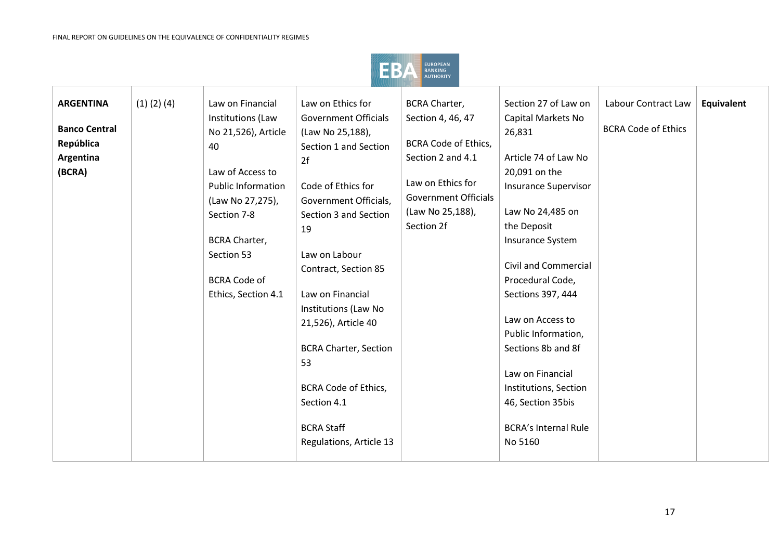

| <b>ARGENTINA</b><br><b>Banco Central</b><br>República<br>Argentina<br>(BCRA) | $(1)$ $(2)$ $(4)$ | Law on Financial<br>Institutions (Law<br>No 21,526), Article<br>40<br>Law of Access to<br><b>Public Information</b><br>(Law No 27,275),<br>Section 7-8<br><b>BCRA Charter,</b><br>Section 53<br><b>BCRA Code of</b><br>Ethics, Section 4.1 | Law on Ethics for<br><b>Government Officials</b><br>(Law No 25,188),<br>Section 1 and Section<br>2f<br>Code of Ethics for<br>Government Officials,<br>Section 3 and Section<br>19<br>Law on Labour<br>Contract, Section 85<br>Law on Financial<br>Institutions (Law No<br>21,526), Article 40<br><b>BCRA Charter, Section</b><br>53<br><b>BCRA Code of Ethics,</b><br>Section 4.1<br><b>BCRA Staff</b><br>Regulations, Article 13 | <b>BCRA Charter,</b><br>Section 4, 46, 47<br><b>BCRA Code of Ethics,</b><br>Section 2 and 4.1<br>Law on Ethics for<br><b>Government Officials</b><br>(Law No 25,188),<br>Section 2f | Section 27 of Law on<br>Capital Markets No<br>26,831<br>Article 74 of Law No<br>20,091 on the<br><b>Insurance Supervisor</b><br>Law No 24,485 on<br>the Deposit<br>Insurance System<br><b>Civil and Commercial</b><br>Procedural Code,<br>Sections 397, 444<br>Law on Access to<br>Public Information,<br>Sections 8b and 8f<br>Law on Financial<br>Institutions, Section<br>46, Section 35bis<br><b>BCRA's Internal Rule</b><br>No 5160 | Labour Contract Law<br><b>BCRA Code of Ethics</b> | <b>Equivalent</b> |
|------------------------------------------------------------------------------|-------------------|--------------------------------------------------------------------------------------------------------------------------------------------------------------------------------------------------------------------------------------------|-----------------------------------------------------------------------------------------------------------------------------------------------------------------------------------------------------------------------------------------------------------------------------------------------------------------------------------------------------------------------------------------------------------------------------------|-------------------------------------------------------------------------------------------------------------------------------------------------------------------------------------|------------------------------------------------------------------------------------------------------------------------------------------------------------------------------------------------------------------------------------------------------------------------------------------------------------------------------------------------------------------------------------------------------------------------------------------|---------------------------------------------------|-------------------|
|------------------------------------------------------------------------------|-------------------|--------------------------------------------------------------------------------------------------------------------------------------------------------------------------------------------------------------------------------------------|-----------------------------------------------------------------------------------------------------------------------------------------------------------------------------------------------------------------------------------------------------------------------------------------------------------------------------------------------------------------------------------------------------------------------------------|-------------------------------------------------------------------------------------------------------------------------------------------------------------------------------------|------------------------------------------------------------------------------------------------------------------------------------------------------------------------------------------------------------------------------------------------------------------------------------------------------------------------------------------------------------------------------------------------------------------------------------------|---------------------------------------------------|-------------------|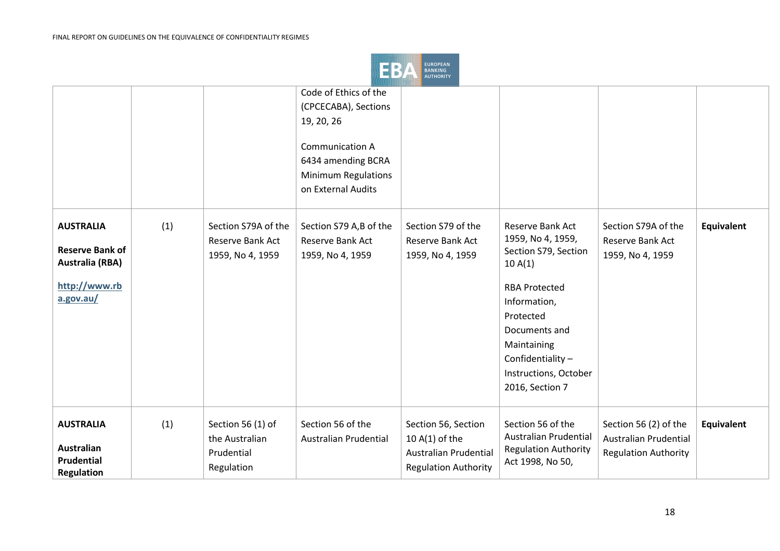

| <b>AUSTRALIA</b><br><b>Reserve Bank of</b>                                      | (1) | Section S79A of the<br>Reserve Bank Act                         | Code of Ethics of the<br>(CPCECABA), Sections<br>19, 20, 26<br><b>Communication A</b><br>6434 amending BCRA<br><b>Minimum Regulations</b><br>on External Audits<br>Section S79 A,B of the<br>Reserve Bank Act | Section S79 of the<br>Reserve Bank Act                                                                 | Reserve Bank Act<br>1959, No 4, 1959,                                                                                                             | Section S79A of the<br>Reserve Bank Act                                              | Equivalent        |
|---------------------------------------------------------------------------------|-----|-----------------------------------------------------------------|---------------------------------------------------------------------------------------------------------------------------------------------------------------------------------------------------------------|--------------------------------------------------------------------------------------------------------|---------------------------------------------------------------------------------------------------------------------------------------------------|--------------------------------------------------------------------------------------|-------------------|
| Australia (RBA)                                                                 |     | 1959, No 4, 1959                                                | 1959, No 4, 1959                                                                                                                                                                                              | 1959, No 4, 1959                                                                                       | Section S79, Section                                                                                                                              | 1959, No 4, 1959                                                                     |                   |
|                                                                                 |     |                                                                 |                                                                                                                                                                                                               |                                                                                                        | 10A(1)                                                                                                                                            |                                                                                      |                   |
| http://www.rb<br>a.gov.au/                                                      |     |                                                                 |                                                                                                                                                                                                               |                                                                                                        | <b>RBA Protected</b><br>Information,<br>Protected<br>Documents and<br>Maintaining<br>Confidentiality-<br>Instructions, October<br>2016, Section 7 |                                                                                      |                   |
| <b>AUSTRALIA</b><br><b>Australian</b><br><b>Prudential</b><br><b>Regulation</b> | (1) | Section 56 (1) of<br>the Australian<br>Prudential<br>Regulation | Section 56 of the<br><b>Australian Prudential</b>                                                                                                                                                             | Section 56, Section<br>10 $A(1)$ of the<br><b>Australian Prudential</b><br><b>Regulation Authority</b> | Section 56 of the<br>Australian Prudential<br><b>Regulation Authority</b><br>Act 1998, No 50,                                                     | Section 56 (2) of the<br><b>Australian Prudential</b><br><b>Regulation Authority</b> | <b>Equivalent</b> |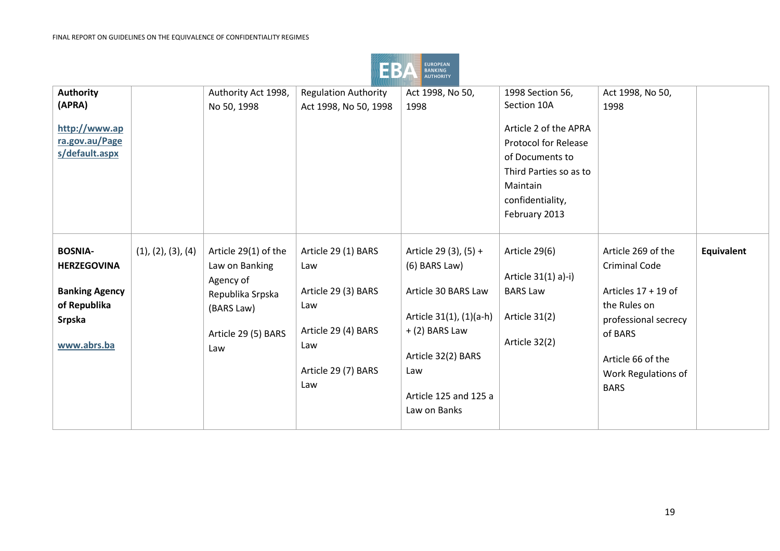

| <b>Authority</b><br>(APRA)<br>http://www.ap<br>ra.gov.au/Page<br>s/default.aspx                               |                    | Authority Act 1998,<br>No 50, 1998                                                                                  | <b>Regulation Authority</b><br>Act 1998, No 50, 1998                                                                 | Act 1998, No 50,<br>1998                                                                                                                                                           | 1998 Section 56,<br>Section 10A<br>Article 2 of the APRA<br><b>Protocol for Release</b><br>of Documents to<br>Third Parties so as to<br>Maintain<br>confidentiality,<br>February 2013 | Act 1998, No 50,<br>1998                                                                                                                                                          |            |
|---------------------------------------------------------------------------------------------------------------|--------------------|---------------------------------------------------------------------------------------------------------------------|----------------------------------------------------------------------------------------------------------------------|------------------------------------------------------------------------------------------------------------------------------------------------------------------------------------|---------------------------------------------------------------------------------------------------------------------------------------------------------------------------------------|-----------------------------------------------------------------------------------------------------------------------------------------------------------------------------------|------------|
| <b>BOSNIA-</b><br><b>HERZEGOVINA</b><br><b>Banking Agency</b><br>of Republika<br><b>Srpska</b><br>www.abrs.ba | (1), (2), (3), (4) | Article 29(1) of the<br>Law on Banking<br>Agency of<br>Republika Srpska<br>(BARS Law)<br>Article 29 (5) BARS<br>Law | Article 29 (1) BARS<br>Law<br>Article 29 (3) BARS<br>Law<br>Article 29 (4) BARS<br>Law<br>Article 29 (7) BARS<br>Law | Article 29 (3), (5) +<br>(6) BARS Law)<br>Article 30 BARS Law<br>Article 31(1), (1)(a-h)<br>$+$ (2) BARS Law<br>Article 32(2) BARS<br>Law<br>Article 125 and 125 a<br>Law on Banks | Article 29(6)<br>Article 31(1) a)-i)<br><b>BARS Law</b><br>Article 31(2)<br>Article 32(2)                                                                                             | Article 269 of the<br><b>Criminal Code</b><br>Articles $17 + 19$ of<br>the Rules on<br>professional secrecy<br>of BARS<br>Article 66 of the<br>Work Regulations of<br><b>BARS</b> | Equivalent |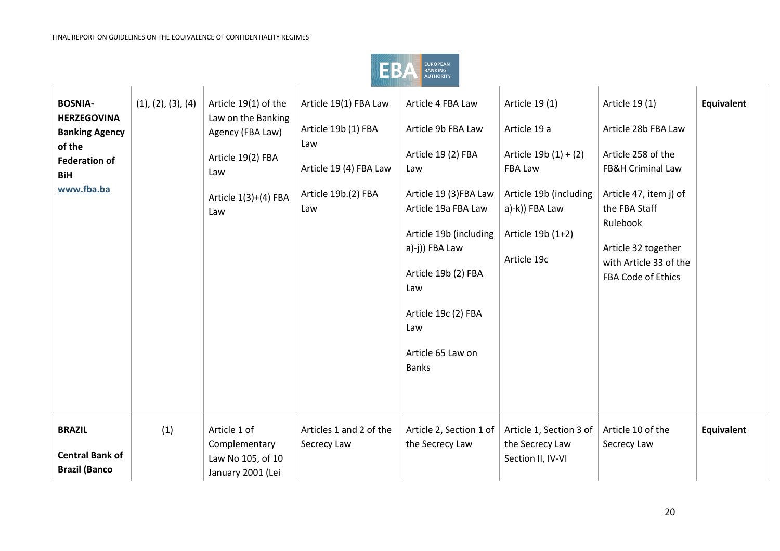

| <b>BOSNIA-</b><br><b>HERZEGOVINA</b><br><b>Banking Agency</b><br>of the<br><b>Federation of</b><br><b>BiH</b><br>www.fba.ba | (1), (2), (3), (4) | Article 19(1) of the<br>Law on the Banking<br>Agency (FBA Law)<br>Article 19(2) FBA<br>Law<br>Article $1(3)+(4)$ FBA<br>Law | Article 19(1) FBA Law<br>Article 19b (1) FBA<br>Law<br>Article 19 (4) FBA Law<br>Article 19b.(2) FBA<br>Law | Article 4 FBA Law<br>Article 9b FBA Law<br>Article 19 (2) FBA<br>Law<br>Article 19 (3)FBA Law<br>Article 19a FBA Law<br>Article 19b (including<br>a)-j)) FBA Law<br>Article 19b (2) FBA<br>Law<br>Article 19c (2) FBA<br>Law<br>Article 65 Law on<br><b>Banks</b> | Article 19 (1)<br>Article 19 a<br>Article $19b(1) + (2)$<br>FBA Law<br>Article 19b (including<br>a)-k)) FBA Law<br>Article 19b (1+2)<br>Article 19c | Article 19 (1)<br>Article 28b FBA Law<br>Article 258 of the<br><b>FB&amp;H Criminal Law</b><br>Article 47, item j) of<br>the FBA Staff<br>Rulebook<br>Article 32 together<br>with Article 33 of the<br>FBA Code of Ethics | Equivalent |
|-----------------------------------------------------------------------------------------------------------------------------|--------------------|-----------------------------------------------------------------------------------------------------------------------------|-------------------------------------------------------------------------------------------------------------|-------------------------------------------------------------------------------------------------------------------------------------------------------------------------------------------------------------------------------------------------------------------|-----------------------------------------------------------------------------------------------------------------------------------------------------|---------------------------------------------------------------------------------------------------------------------------------------------------------------------------------------------------------------------------|------------|
| <b>BRAZIL</b><br><b>Central Bank of</b><br><b>Brazil (Banco</b>                                                             | (1)                | Article 1 of<br>Complementary<br>Law No 105, of 10<br>January 2001 (Lei                                                     | Articles 1 and 2 of the<br>Secrecy Law                                                                      | Article 2, Section 1 of<br>the Secrecy Law                                                                                                                                                                                                                        | Article 1, Section 3 of<br>the Secrecy Law<br>Section II, IV-VI                                                                                     | Article 10 of the<br>Secrecy Law                                                                                                                                                                                          | Equivalent |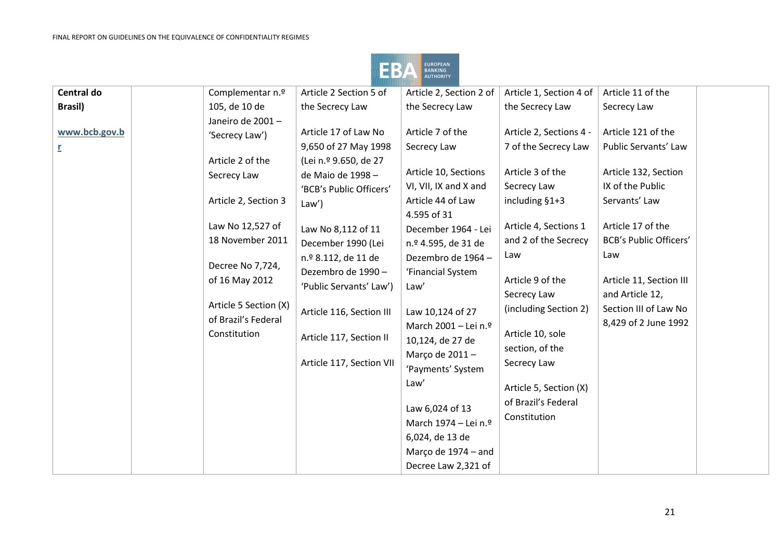

| Central do     | Complementar n.º      | Article 2 Section 5 of   | Article 2, Section 2 of | Article 1, Section 4 of     | Article 11 of the             |
|----------------|-----------------------|--------------------------|-------------------------|-----------------------------|-------------------------------|
| <b>Brasil)</b> | 105, de 10 de         | the Secrecy Law          | the Secrecy Law         | the Secrecy Law             | Secrecy Law                   |
|                | Janeiro de 2001 -     |                          |                         |                             |                               |
| www.bcb.gov.b  | 'Secrecy Law')        | Article 17 of Law No     | Article 7 of the        | Article 2, Sections 4 -     | Article 121 of the            |
| $\overline{r}$ |                       | 9,650 of 27 May 1998     | Secrecy Law             | 7 of the Secrecy Law        | Public Servants' Law          |
|                | Article 2 of the      | (Lei n.º 9.650, de 27    |                         |                             |                               |
|                | Secrecy Law           | de Maio de 1998 -        | Article 10, Sections    | Article 3 of the            | Article 132, Section          |
|                |                       | 'BCB's Public Officers'  | VI, VII, IX and X and   | Secrecy Law                 | IX of the Public              |
|                | Article 2, Section 3  | $Law$ )                  | Article 44 of Law       | including $§1+3$            | Servants' Law                 |
|                |                       |                          | 4.595 of 31             |                             |                               |
|                | Law No 12,527 of      | Law No 8,112 of 11       | December 1964 - Lei     | Article 4, Sections 1       | Article 17 of the             |
|                | 18 November 2011      | December 1990 (Lei       | n.º 4.595, de 31 de     | and 2 of the Secrecy<br>Law | <b>BCB's Public Officers'</b> |
|                |                       | n.º 8.112, de 11 de      | Dezembro de 1964 -      |                             | Law                           |
|                | Decree No 7,724,      | Dezembro de 1990 -       | 'Financial System       |                             |                               |
|                | of 16 May 2012        | 'Public Servants' Law')  | Law'                    | Article 9 of the            | Article 11, Section III       |
|                | Article 5 Section (X) |                          |                         | Secrecy Law                 | and Article 12,               |
|                | of Brazil's Federal   | Article 116, Section III | Law 10,124 of 27        | (including Section 2)       | Section III of Law No         |
|                |                       |                          | March 2001 - Lei n.º    |                             | 8,429 of 2 June 1992          |
|                | Constitution          | Article 117, Section II  | 10,124, de 27 de        | Article 10, sole            |                               |
|                |                       |                          | Março de 2011 -         | section, of the             |                               |
|                |                       | Article 117, Section VII | 'Payments' System       | Secrecy Law                 |                               |
|                |                       |                          | Law'                    | Article 5, Section (X)      |                               |
|                |                       |                          |                         | of Brazil's Federal         |                               |
|                |                       |                          | Law 6,024 of 13         |                             |                               |
|                |                       |                          | March 1974 - Lei n.º    | Constitution                |                               |
|                |                       |                          | 6,024, de 13 de         |                             |                               |
|                |                       |                          | Março de 1974 - and     |                             |                               |
|                |                       |                          | Decree Law 2,321 of     |                             |                               |
|                |                       |                          |                         |                             |                               |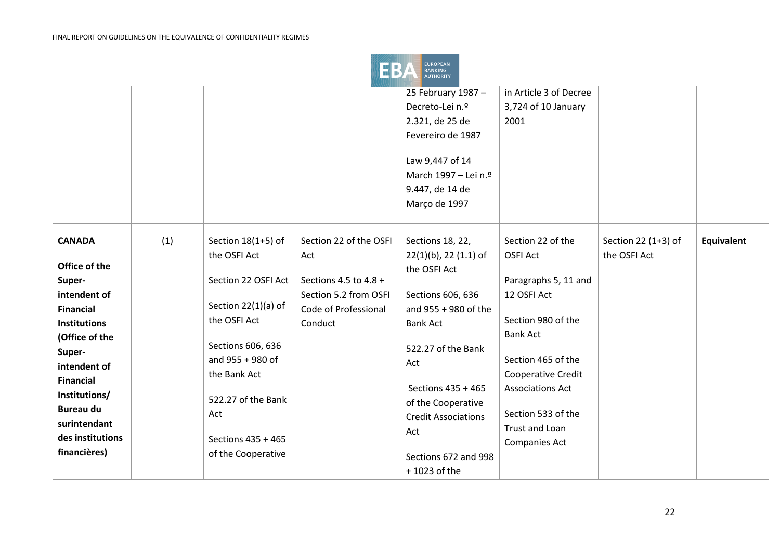

|                                                                                                                                                                                                                                                              |     |                                                                                                                                                                                                                                    |                                                                                                                    | 25 February 1987-<br>Decreto-Lei n.º<br>2.321, de 25 de<br>Fevereiro de 1987<br>Law 9,447 of 14<br>March 1997 - Lei n.º<br>9.447, de 14 de<br>Março de 1997                                                                                                                         | in Article 3 of Decree<br>3,724 of 10 January<br>2001                                                                                                                                                                                                |                                     |                   |
|--------------------------------------------------------------------------------------------------------------------------------------------------------------------------------------------------------------------------------------------------------------|-----|------------------------------------------------------------------------------------------------------------------------------------------------------------------------------------------------------------------------------------|--------------------------------------------------------------------------------------------------------------------|-------------------------------------------------------------------------------------------------------------------------------------------------------------------------------------------------------------------------------------------------------------------------------------|------------------------------------------------------------------------------------------------------------------------------------------------------------------------------------------------------------------------------------------------------|-------------------------------------|-------------------|
| <b>CANADA</b><br>Office of the<br>Super-<br>intendent of<br><b>Financial</b><br><b>Institutions</b><br>(Office of the<br>Super-<br>intendent of<br><b>Financial</b><br>Institutions/<br><b>Bureau du</b><br>surintendant<br>des institutions<br>financières) | (1) | Section 18(1+5) of<br>the OSFI Act<br>Section 22 OSFI Act<br>Section 22(1)(a) of<br>the OSFI Act<br>Sections 606, 636<br>and 955 + 980 of<br>the Bank Act<br>522.27 of the Bank<br>Act<br>Sections 435 + 465<br>of the Cooperative | Section 22 of the OSFI<br>Act<br>Sections 4.5 to 4.8 +<br>Section 5.2 from OSFI<br>Code of Professional<br>Conduct | Sections 18, 22,<br>$22(1)(b)$ , 22 (1.1) of<br>the OSFI Act<br>Sections 606, 636<br>and 955 + 980 of the<br><b>Bank Act</b><br>522.27 of the Bank<br>Act<br>Sections 435 + 465<br>of the Cooperative<br><b>Credit Associations</b><br>Act<br>Sections 672 and 998<br>+ 1023 of the | Section 22 of the<br><b>OSFI Act</b><br>Paragraphs 5, 11 and<br>12 OSFI Act<br>Section 980 of the<br><b>Bank Act</b><br>Section 465 of the<br>Cooperative Credit<br><b>Associations Act</b><br>Section 533 of the<br>Trust and Loan<br>Companies Act | Section 22 (1+3) of<br>the OSFI Act | <b>Equivalent</b> |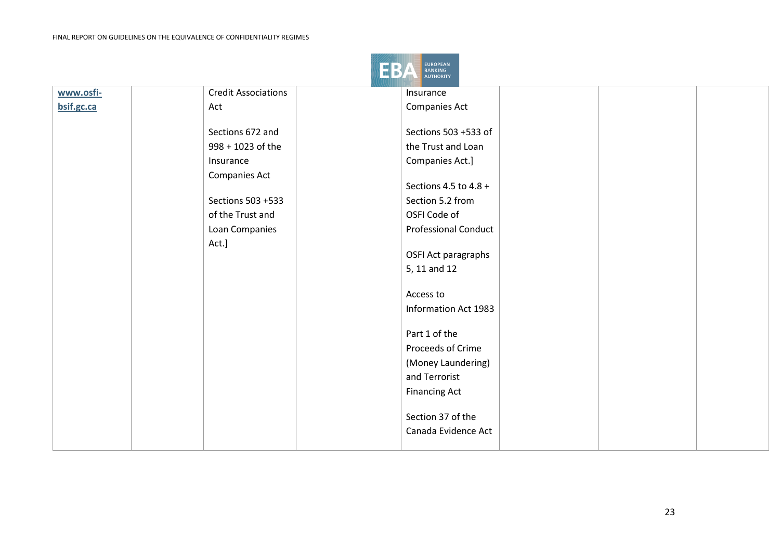

| www.osfi-  | <b>Credit Associations</b> | Insurance                   |
|------------|----------------------------|-----------------------------|
| bsif.gc.ca | Act                        | Companies Act               |
|            |                            |                             |
|            | Sections 672 and           | Sections 503 +533 of        |
|            | 998 + 1023 of the          | the Trust and Loan          |
|            | Insurance                  | Companies Act.]             |
|            | Companies Act              |                             |
|            |                            | Sections 4.5 to 4.8 +       |
|            | Sections 503 +533          | Section 5.2 from            |
|            | of the Trust and           | OSFI Code of                |
|            | Loan Companies             | <b>Professional Conduct</b> |
|            | Act.]                      |                             |
|            |                            | OSFI Act paragraphs         |
|            |                            | 5, 11 and 12                |
|            |                            |                             |
|            |                            | Access to                   |
|            |                            | Information Act 1983        |
|            |                            |                             |
|            |                            | Part 1 of the               |
|            |                            | Proceeds of Crime           |
|            |                            | (Money Laundering)          |
|            |                            | and Terrorist               |
|            |                            | <b>Financing Act</b>        |
|            |                            |                             |
|            |                            | Section 37 of the           |
|            |                            | Canada Evidence Act         |
|            |                            |                             |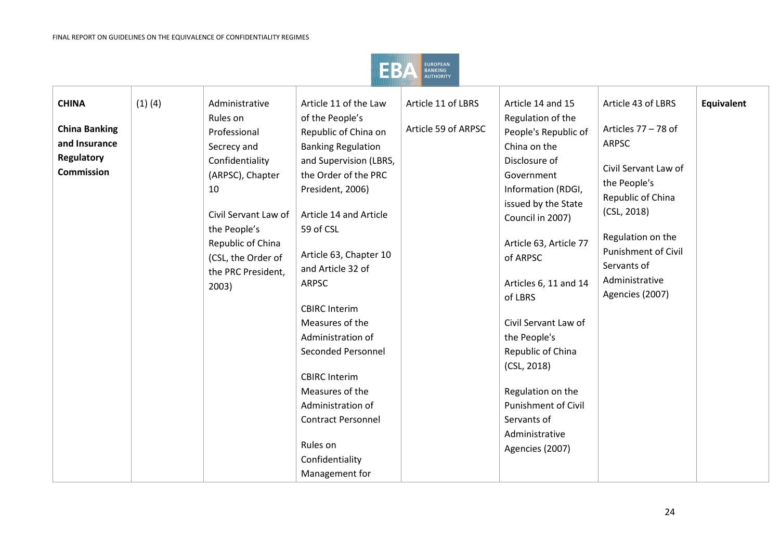

| <b>CHINA</b><br><b>China Banking</b><br>and Insurance<br><b>Regulatory</b><br><b>Commission</b> | $(1)$ $(4)$ | Administrative<br>Rules on<br>Professional<br>Secrecy and<br>Confidentiality<br>(ARPSC), Chapter<br>10<br>Civil Servant Law of<br>the People's<br>Republic of China<br>(CSL, the Order of<br>the PRC President,<br>2003) | Article 11 of the Law<br>of the People's<br>Republic of China on<br><b>Banking Regulation</b><br>and Supervision (LBRS,<br>the Order of the PRC<br>President, 2006)<br>Article 14 and Article<br>59 of CSL<br>Article 63, Chapter 10<br>and Article 32 of<br><b>ARPSC</b><br><b>CBIRC Interim</b><br>Measures of the<br>Administration of<br><b>Seconded Personnel</b><br><b>CBIRC Interim</b><br>Measures of the<br>Administration of<br><b>Contract Personnel</b><br>Rules on<br>Confidentiality<br>Management for | Article 11 of LBRS<br>Article 59 of ARPSC | Article 14 and 15<br>Regulation of the<br>People's Republic of<br>China on the<br>Disclosure of<br>Government<br>Information (RDGI,<br>issued by the State<br>Council in 2007)<br>Article 63, Article 77<br>of ARPSC<br>Articles 6, 11 and 14<br>of LBRS<br>Civil Servant Law of<br>the People's<br>Republic of China<br>(CSL, 2018)<br>Regulation on the<br><b>Punishment of Civil</b><br>Servants of<br>Administrative<br>Agencies (2007) | Article 43 of LBRS<br>Articles 77 - 78 of<br><b>ARPSC</b><br>Civil Servant Law of<br>the People's<br>Republic of China<br>(CSL, 2018)<br>Regulation on the<br><b>Punishment of Civil</b><br>Servants of<br>Administrative<br>Agencies (2007) | Equivalent |
|-------------------------------------------------------------------------------------------------|-------------|--------------------------------------------------------------------------------------------------------------------------------------------------------------------------------------------------------------------------|----------------------------------------------------------------------------------------------------------------------------------------------------------------------------------------------------------------------------------------------------------------------------------------------------------------------------------------------------------------------------------------------------------------------------------------------------------------------------------------------------------------------|-------------------------------------------|---------------------------------------------------------------------------------------------------------------------------------------------------------------------------------------------------------------------------------------------------------------------------------------------------------------------------------------------------------------------------------------------------------------------------------------------|----------------------------------------------------------------------------------------------------------------------------------------------------------------------------------------------------------------------------------------------|------------|
|-------------------------------------------------------------------------------------------------|-------------|--------------------------------------------------------------------------------------------------------------------------------------------------------------------------------------------------------------------------|----------------------------------------------------------------------------------------------------------------------------------------------------------------------------------------------------------------------------------------------------------------------------------------------------------------------------------------------------------------------------------------------------------------------------------------------------------------------------------------------------------------------|-------------------------------------------|---------------------------------------------------------------------------------------------------------------------------------------------------------------------------------------------------------------------------------------------------------------------------------------------------------------------------------------------------------------------------------------------------------------------------------------------|----------------------------------------------------------------------------------------------------------------------------------------------------------------------------------------------------------------------------------------------|------------|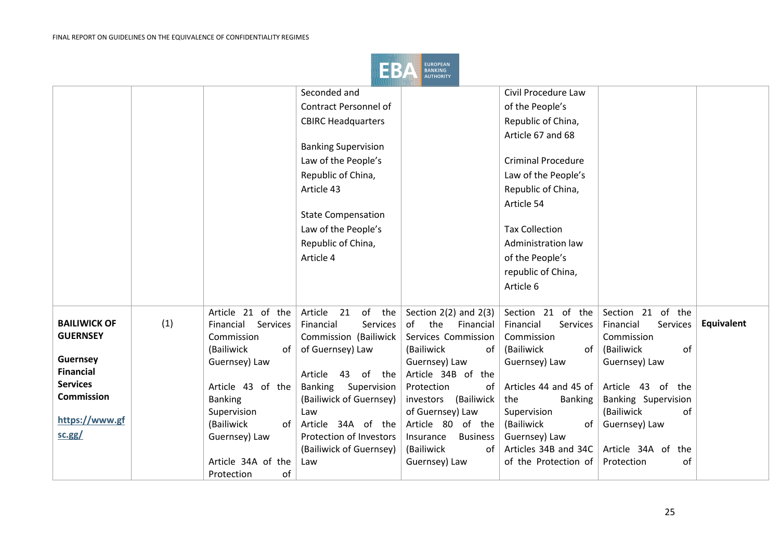Protection of

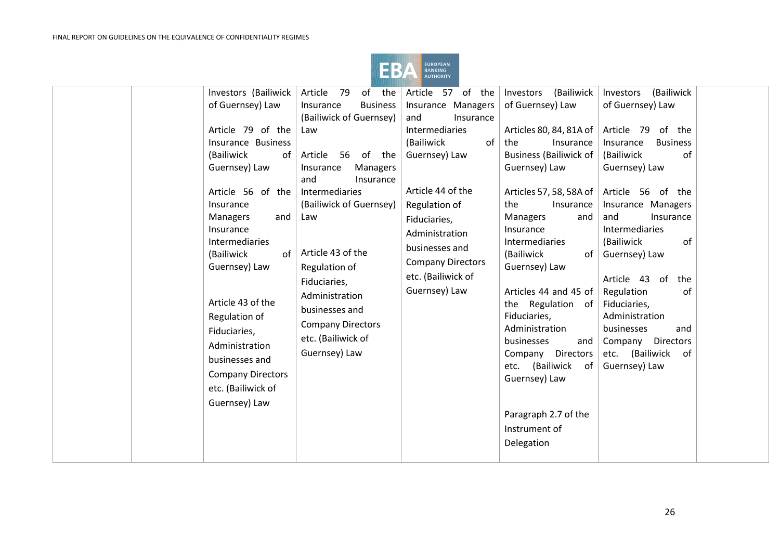

| Investors (Bailiwick<br>of Guernsey) Law<br>Article 79 of the<br>Insurance Business<br>(Bailiwick<br>0f<br>Guernsey) Law<br>Article 56 of the<br>Insurance<br>Managers<br>and<br>Insurance<br>Intermediaries<br>of<br>(Bailiwick<br>Guernsey) Law<br>Article 43 of the<br>Regulation of<br>Fiduciaries,<br>Administration<br>businesses and<br><b>Company Directors</b><br>etc. (Bailiwick of<br>Guernsey) Law | 79<br>of the<br>Article<br><b>Business</b><br>Insurance<br>(Bailiwick of Guernsey)<br>Law<br>of the<br>Article 56<br>Managers<br>Insurance<br>and<br>Insurance<br>Intermediaries<br>(Bailiwick of Guernsey)<br>Law<br>Article 43 of the<br>Regulation of<br>Fiduciaries,<br>Administration<br>businesses and<br><b>Company Directors</b><br>etc. (Bailiwick of<br>Guernsey) Law | Article 57 of the<br>Insurance Managers<br>Insurance<br>and<br>Intermediaries<br>(Bailiwick<br>of<br>Guernsey) Law<br>Article 44 of the<br>Regulation of<br>Fiduciaries,<br>Administration<br>businesses and<br><b>Company Directors</b><br>etc. (Bailiwick of<br>Guernsey) Law | (Bailiwick<br>Investors<br>of Guernsey) Law<br>Articles 80, 84, 81A of<br>the<br>Insurance<br><b>Business (Bailiwick of</b><br>Guernsey) Law<br>Articles 57, 58, 58A of<br>the<br>Insurance<br>Managers<br>and<br>Insurance<br>Intermediaries<br>(Bailiwick<br>of  <br>Guernsey) Law<br>Articles 44 and 45 of<br>the Regulation of<br>Fiduciaries,<br>Administration<br>businesses<br>and<br>Company Directors<br>etc. (Bailiwick of<br>Guernsey) Law<br>Paragraph 2.7 of the<br>Instrument of<br>Delegation | (Bailiwick<br>Investors<br>of Guernsey) Law<br>Article 79<br>of the<br><b>Business</b><br>Insurance<br>(Bailiwick<br>of<br>Guernsey) Law<br>Article 56 of the<br>Insurance Managers<br>and<br>Insurance<br>Intermediaries<br>of<br>(Bailiwick<br>Guernsey) Law<br>Article 43<br>the<br>0f<br>of<br>Regulation<br>Fiduciaries,<br>Administration<br>businesses<br>and<br><b>Directors</b><br>Company<br>etc. (Bailiwick of<br>Guernsey) Law |  |
|----------------------------------------------------------------------------------------------------------------------------------------------------------------------------------------------------------------------------------------------------------------------------------------------------------------------------------------------------------------------------------------------------------------|---------------------------------------------------------------------------------------------------------------------------------------------------------------------------------------------------------------------------------------------------------------------------------------------------------------------------------------------------------------------------------|---------------------------------------------------------------------------------------------------------------------------------------------------------------------------------------------------------------------------------------------------------------------------------|--------------------------------------------------------------------------------------------------------------------------------------------------------------------------------------------------------------------------------------------------------------------------------------------------------------------------------------------------------------------------------------------------------------------------------------------------------------------------------------------------------------|--------------------------------------------------------------------------------------------------------------------------------------------------------------------------------------------------------------------------------------------------------------------------------------------------------------------------------------------------------------------------------------------------------------------------------------------|--|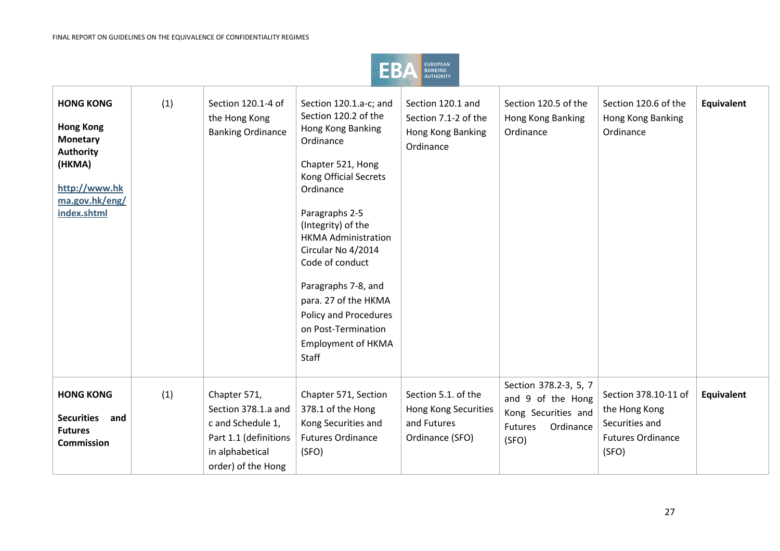

| <b>HONG KONG</b><br><b>Hong Kong</b><br><b>Monetary</b><br><b>Authority</b><br>(HKMA)<br>http://www.hk<br>ma.gov.hk/eng/<br>index.shtml | (1) | Section 120.1-4 of<br>the Hong Kong<br><b>Banking Ordinance</b>                                                            | Section 120.1.a-c; and<br>Section 120.2 of the<br>Hong Kong Banking<br>Ordinance<br>Chapter 521, Hong<br>Kong Official Secrets<br>Ordinance<br>Paragraphs 2-5<br>(Integrity) of the<br><b>HKMA Administration</b><br>Circular No 4/2014<br>Code of conduct<br>Paragraphs 7-8, and<br>para. 27 of the HKMA<br><b>Policy and Procedures</b><br>on Post-Termination<br><b>Employment of HKMA</b><br>Staff | Section 120.1 and<br>Section 7.1-2 of the<br>Hong Kong Banking<br>Ordinance   | Section 120.5 of the<br>Hong Kong Banking<br>Ordinance                                                    | Section 120.6 of the<br>Hong Kong Banking<br>Ordinance                                       | Equivalent |
|-----------------------------------------------------------------------------------------------------------------------------------------|-----|----------------------------------------------------------------------------------------------------------------------------|--------------------------------------------------------------------------------------------------------------------------------------------------------------------------------------------------------------------------------------------------------------------------------------------------------------------------------------------------------------------------------------------------------|-------------------------------------------------------------------------------|-----------------------------------------------------------------------------------------------------------|----------------------------------------------------------------------------------------------|------------|
| <b>HONG KONG</b><br><b>Securities</b><br>and<br><b>Futures</b><br><b>Commission</b>                                                     | (1) | Chapter 571,<br>Section 378.1.a and<br>c and Schedule 1,<br>Part 1.1 (definitions<br>in alphabetical<br>order) of the Hong | Chapter 571, Section<br>378.1 of the Hong<br>Kong Securities and<br><b>Futures Ordinance</b><br>(SFO)                                                                                                                                                                                                                                                                                                  | Section 5.1. of the<br>Hong Kong Securities<br>and Futures<br>Ordinance (SFO) | Section 378.2-3, 5, 7<br>and 9 of the Hong<br>Kong Securities and<br>Ordinance<br><b>Futures</b><br>(SFO) | Section 378.10-11 of<br>the Hong Kong<br>Securities and<br><b>Futures Ordinance</b><br>(SFO) | Equivalent |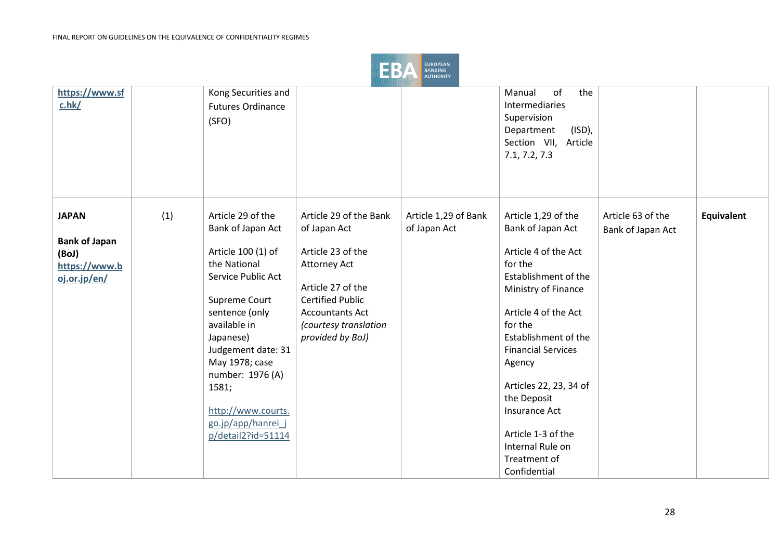

| https://www.sf<br>c.hk/                                                        |     | Kong Securities and<br><b>Futures Ordinance</b><br>(SFO)                                                                                                                                                                                                                                                  |                                                                                                                                                                                                    |                                      | of<br>the<br>Manual<br>Intermediaries<br>Supervision<br>$(ISD)$ ,<br>Department<br>Section VII, Article<br>7.1, 7.2, 7.3                                                                                                                                                                                                                                         |                                        |            |
|--------------------------------------------------------------------------------|-----|-----------------------------------------------------------------------------------------------------------------------------------------------------------------------------------------------------------------------------------------------------------------------------------------------------------|----------------------------------------------------------------------------------------------------------------------------------------------------------------------------------------------------|--------------------------------------|------------------------------------------------------------------------------------------------------------------------------------------------------------------------------------------------------------------------------------------------------------------------------------------------------------------------------------------------------------------|----------------------------------------|------------|
| <b>JAPAN</b><br><b>Bank of Japan</b><br>(BoJ)<br>https://www.b<br>oj.or.jp/en/ | (1) | Article 29 of the<br>Bank of Japan Act<br>Article 100 (1) of<br>the National<br>Service Public Act<br>Supreme Court<br>sentence (only<br>available in<br>Japanese)<br>Judgement date: 31<br>May 1978; case<br>number: 1976 (A)<br>1581;<br>http://www.courts.<br>go.jp/app/hanrei_j<br>p/detail2?id=51114 | Article 29 of the Bank<br>of Japan Act<br>Article 23 of the<br>Attorney Act<br>Article 27 of the<br><b>Certified Public</b><br><b>Accountants Act</b><br>(courtesy translation<br>provided by BoJ) | Article 1,29 of Bank<br>of Japan Act | Article 1,29 of the<br>Bank of Japan Act<br>Article 4 of the Act<br>for the<br>Establishment of the<br>Ministry of Finance<br>Article 4 of the Act<br>for the<br>Establishment of the<br><b>Financial Services</b><br>Agency<br>Articles 22, 23, 34 of<br>the Deposit<br>Insurance Act<br>Article 1-3 of the<br>Internal Rule on<br>Treatment of<br>Confidential | Article 63 of the<br>Bank of Japan Act | Equivalent |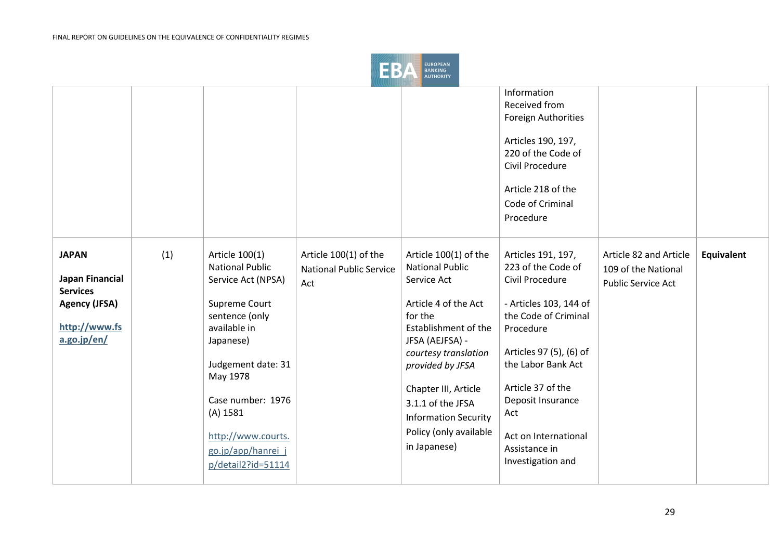

|                                                                                                            |     |                                                                                                                                                                                                                                                                       |                                                                |                                                                                                                                                                                                                                                                                                                | Information<br>Received from<br>Foreign Authorities<br>Articles 190, 197,<br>220 of the Code of<br>Civil Procedure<br>Article 218 of the<br>Code of Criminal<br>Procedure                                                                                                                  |                                                                            |                   |
|------------------------------------------------------------------------------------------------------------|-----|-----------------------------------------------------------------------------------------------------------------------------------------------------------------------------------------------------------------------------------------------------------------------|----------------------------------------------------------------|----------------------------------------------------------------------------------------------------------------------------------------------------------------------------------------------------------------------------------------------------------------------------------------------------------------|--------------------------------------------------------------------------------------------------------------------------------------------------------------------------------------------------------------------------------------------------------------------------------------------|----------------------------------------------------------------------------|-------------------|
| <b>JAPAN</b><br>Japan Financial<br><b>Services</b><br><b>Agency (JFSA)</b><br>http://www.fs<br>a.go.jp/en/ | (1) | Article 100(1)<br><b>National Public</b><br>Service Act (NPSA)<br>Supreme Court<br>sentence (only<br>available in<br>Japanese)<br>Judgement date: 31<br>May 1978<br>Case number: 1976<br>$(A)$ 1581<br>http://www.courts.<br>go.jp/app/hanrei j<br>p/detail2?id=51114 | Article 100(1) of the<br><b>National Public Service</b><br>Act | Article 100(1) of the<br><b>National Public</b><br>Service Act<br>Article 4 of the Act<br>for the<br>Establishment of the<br>JFSA (AEJFSA) -<br>courtesy translation<br>provided by JFSA<br>Chapter III, Article<br>3.1.1 of the JFSA<br><b>Information Security</b><br>Policy (only available<br>in Japanese) | Articles 191, 197,<br>223 of the Code of<br>Civil Procedure<br>- Articles 103, 144 of<br>the Code of Criminal<br>Procedure<br>Articles 97 (5), (6) of<br>the Labor Bank Act<br>Article 37 of the<br>Deposit Insurance<br>Act<br>Act on International<br>Assistance in<br>Investigation and | Article 82 and Article<br>109 of the National<br><b>Public Service Act</b> | <b>Equivalent</b> |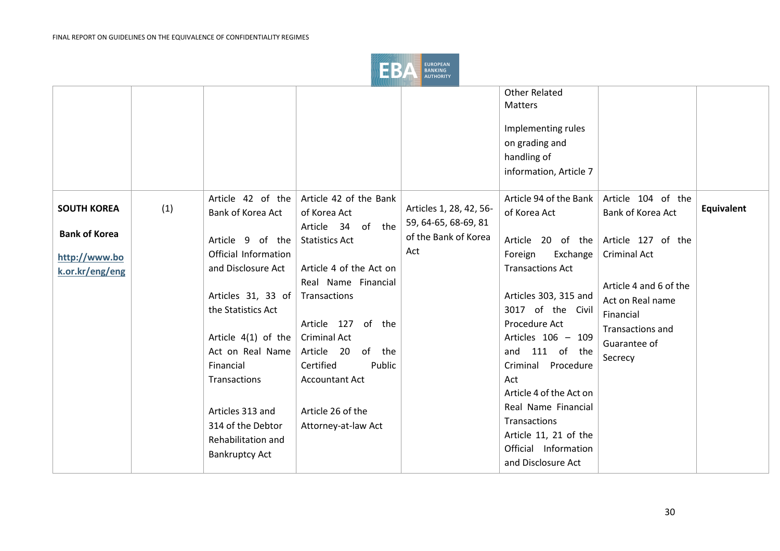

|                                                          |     |                                                                                                                                                                                                                             |                                                                                                                                                                                                                                                                            |                                                     | <b>Other Related</b><br>Matters<br>Implementing rules<br>on grading and<br>handling of<br>information, Article 7                                                                                                                                                                                   |                                                                                                                                                            |            |
|----------------------------------------------------------|-----|-----------------------------------------------------------------------------------------------------------------------------------------------------------------------------------------------------------------------------|----------------------------------------------------------------------------------------------------------------------------------------------------------------------------------------------------------------------------------------------------------------------------|-----------------------------------------------------|----------------------------------------------------------------------------------------------------------------------------------------------------------------------------------------------------------------------------------------------------------------------------------------------------|------------------------------------------------------------------------------------------------------------------------------------------------------------|------------|
| <b>SOUTH KOREA</b>                                       | (1) | Article 42 of the<br>Bank of Korea Act                                                                                                                                                                                      | Article 42 of the Bank<br>of Korea Act                                                                                                                                                                                                                                     | Articles 1, 28, 42, 56-                             | Article 94 of the Bank<br>of Korea Act                                                                                                                                                                                                                                                             | Article 104 of the<br>Bank of Korea Act                                                                                                                    | Equivalent |
| <b>Bank of Korea</b><br>http://www.bo<br>k.or.kr/eng/eng |     | Article 9 of the<br>Official Information<br>and Disclosure Act<br>Articles 31, 33 of<br>the Statistics Act<br>Article 4(1) of the<br>Act on Real Name<br>Financial<br>Transactions<br>Articles 313 and<br>314 of the Debtor | Article 34 of the<br><b>Statistics Act</b><br>Article 4 of the Act on<br>Real Name Financial<br>Transactions<br>Article 127 of the<br><b>Criminal Act</b><br>Article 20 of the<br>Certified<br>Public<br><b>Accountant Act</b><br>Article 26 of the<br>Attorney-at-law Act | 59, 64-65, 68-69, 81<br>of the Bank of Korea<br>Act | Article 20 of the<br>Exchange<br>Foreign<br><b>Transactions Act</b><br>Articles 303, 315 and<br>3017 of the Civil<br>Procedure Act<br>Articles 106 - 109<br>and 111 of the<br>Criminal Procedure<br>Act<br>Article 4 of the Act on<br>Real Name Financial<br>Transactions<br>Article 11, 21 of the | Article 127 of the<br><b>Criminal Act</b><br>Article 4 and 6 of the<br>Act on Real name<br>Financial<br><b>Transactions and</b><br>Guarantee of<br>Secrecy |            |
|                                                          |     | Rehabilitation and<br><b>Bankruptcy Act</b>                                                                                                                                                                                 |                                                                                                                                                                                                                                                                            |                                                     | Official Information<br>and Disclosure Act                                                                                                                                                                                                                                                         |                                                                                                                                                            |            |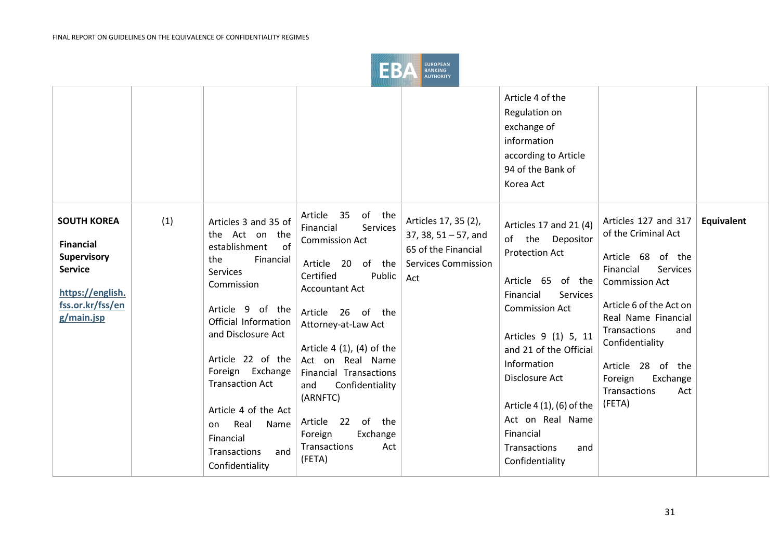

|                                                                                                                                      |     |                                                                                                                                                                                                                                                                                                                                                                 |                                                                                                                                                                                                                                                                                                                                                                                                    |                                                                                                            | Article 4 of the<br>Regulation on<br>exchange of<br>information<br>according to Article<br>94 of the Bank of<br>Korea Act                                                                                                                                                                                                                |                                                                                                                                                                                                                                                                                                |                   |
|--------------------------------------------------------------------------------------------------------------------------------------|-----|-----------------------------------------------------------------------------------------------------------------------------------------------------------------------------------------------------------------------------------------------------------------------------------------------------------------------------------------------------------------|----------------------------------------------------------------------------------------------------------------------------------------------------------------------------------------------------------------------------------------------------------------------------------------------------------------------------------------------------------------------------------------------------|------------------------------------------------------------------------------------------------------------|------------------------------------------------------------------------------------------------------------------------------------------------------------------------------------------------------------------------------------------------------------------------------------------------------------------------------------------|------------------------------------------------------------------------------------------------------------------------------------------------------------------------------------------------------------------------------------------------------------------------------------------------|-------------------|
| <b>SOUTH KOREA</b><br><b>Financial</b><br><b>Supervisory</b><br><b>Service</b><br>https://english.<br>fss.or.kr/fss/en<br>g/main.jsp | (1) | Articles 3 and 35 of<br>the Act on the<br>of<br>establishment<br>the<br>Financial<br>Services<br>Commission<br>Article 9<br>of the<br>Official Information<br>and Disclosure Act<br>Article 22 of the<br>Foreign Exchange<br><b>Transaction Act</b><br>Article 4 of the Act<br>Real<br>Name<br>on<br>Financial<br>and<br><b>Transactions</b><br>Confidentiality | Article 35<br>of the<br>Financial<br>Services<br><b>Commission Act</b><br>of the<br>Article 20<br>Certified<br>Public<br><b>Accountant Act</b><br>Article 26 of the<br>Attorney-at-Law Act<br>Article 4 (1), (4) of the<br>Act on Real Name<br><b>Financial Transactions</b><br>Confidentiality<br>and<br>(ARNFTC)<br>Article 22<br>of the<br>Exchange<br>Foreign<br>Transactions<br>Act<br>(FETA) | Articles 17, 35 (2),<br>$37, 38, 51 - 57,$ and<br>65 of the Financial<br><b>Services Commission</b><br>Act | Articles 17 and 21 (4)<br>the Depositor<br>of<br><b>Protection Act</b><br>Article 65 of the<br>Financial<br>Services<br><b>Commission Act</b><br>Articles 9 (1) 5, 11<br>and 21 of the Official<br>Information<br>Disclosure Act<br>Article 4 (1), (6) of the<br>Act on Real Name<br>Financial<br>Transactions<br>and<br>Confidentiality | Articles 127 and 317<br>of the Criminal Act<br>Article 68<br>of the<br>Financial<br>Services<br><b>Commission Act</b><br>Article 6 of the Act on<br>Real Name Financial<br>Transactions<br>and<br>Confidentiality<br>Article 28 of the<br>Foreign<br>Exchange<br>Transactions<br>Act<br>(FETA) | <b>Equivalent</b> |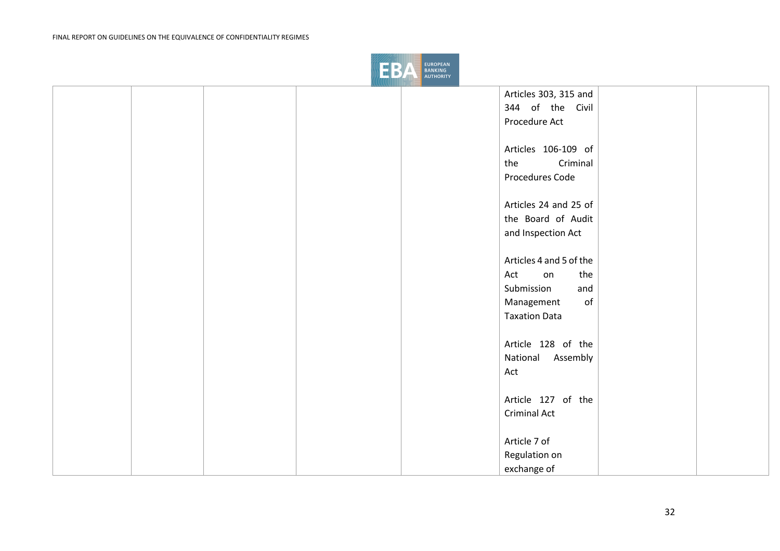

| Articles 303, 315 and   |
|-------------------------|
| 344 of the Civil        |
| Procedure Act           |
|                         |
| Articles 106-109 of     |
| Criminal<br>the         |
| Procedures Code         |
|                         |
| Articles 24 and 25 of   |
| the Board of Audit      |
| and Inspection Act      |
|                         |
| Articles 4 and 5 of the |
| the<br>Act<br>on        |
| Submission<br>and       |
| of<br>Management        |
| <b>Taxation Data</b>    |
|                         |
| Article 128 of the      |
| National<br>Assembly    |
| Act                     |
|                         |
| Article 127 of the      |
| <b>Criminal Act</b>     |
|                         |
| Article 7 of            |
| Regulation on           |
| exchange of             |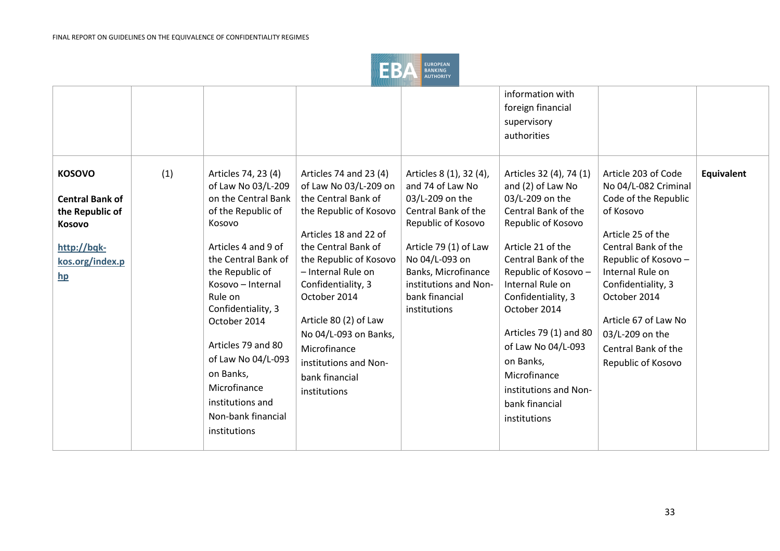

|                                                                                                                     |     |                                                                                                                                                                                                                                                                                                                                                                            |                                                                                                                                                                                                                                                                                                                                                                     |                                                                                                                                                                                                                                          | information with<br>foreign financial<br>supervisory<br>authorities                                                                                                                                                                                                                                                                                                                |                                                                                                                                                                                                                                                                                                        |                   |
|---------------------------------------------------------------------------------------------------------------------|-----|----------------------------------------------------------------------------------------------------------------------------------------------------------------------------------------------------------------------------------------------------------------------------------------------------------------------------------------------------------------------------|---------------------------------------------------------------------------------------------------------------------------------------------------------------------------------------------------------------------------------------------------------------------------------------------------------------------------------------------------------------------|------------------------------------------------------------------------------------------------------------------------------------------------------------------------------------------------------------------------------------------|------------------------------------------------------------------------------------------------------------------------------------------------------------------------------------------------------------------------------------------------------------------------------------------------------------------------------------------------------------------------------------|--------------------------------------------------------------------------------------------------------------------------------------------------------------------------------------------------------------------------------------------------------------------------------------------------------|-------------------|
| <b>KOSOVO</b><br><b>Central Bank of</b><br>the Republic of<br><b>Kosovo</b><br>http://bqk-<br>kos.org/index.p<br>hp | (1) | Articles 74, 23 (4)<br>of Law No 03/L-209<br>on the Central Bank<br>of the Republic of<br>Kosovo<br>Articles 4 and 9 of<br>the Central Bank of<br>the Republic of<br>Kosovo - Internal<br>Rule on<br>Confidentiality, 3<br>October 2014<br>Articles 79 and 80<br>of Law No 04/L-093<br>on Banks,<br>Microfinance<br>institutions and<br>Non-bank financial<br>institutions | Articles 74 and 23 (4)<br>of Law No 03/L-209 on<br>the Central Bank of<br>the Republic of Kosovo<br>Articles 18 and 22 of<br>the Central Bank of<br>the Republic of Kosovo<br>- Internal Rule on<br>Confidentiality, 3<br>October 2014<br>Article 80 (2) of Law<br>No 04/L-093 on Banks,<br>Microfinance<br>institutions and Non-<br>bank financial<br>institutions | Articles 8 (1), 32 (4),<br>and 74 of Law No<br>03/L-209 on the<br>Central Bank of the<br>Republic of Kosovo<br>Article 79 (1) of Law<br>No 04/L-093 on<br>Banks, Microfinance<br>institutions and Non-<br>bank financial<br>institutions | Articles 32 (4), 74 (1)<br>and (2) of Law No<br>03/L-209 on the<br>Central Bank of the<br>Republic of Kosovo<br>Article 21 of the<br>Central Bank of the<br>Republic of Kosovo -<br>Internal Rule on<br>Confidentiality, 3<br>October 2014<br>Articles 79 (1) and 80<br>of Law No 04/L-093<br>on Banks,<br>Microfinance<br>institutions and Non-<br>bank financial<br>institutions | Article 203 of Code<br>No 04/L-082 Criminal<br>Code of the Republic<br>of Kosovo<br>Article 25 of the<br>Central Bank of the<br>Republic of Kosovo -<br>Internal Rule on<br>Confidentiality, 3<br>October 2014<br>Article 67 of Law No<br>03/L-209 on the<br>Central Bank of the<br>Republic of Kosovo | <b>Equivalent</b> |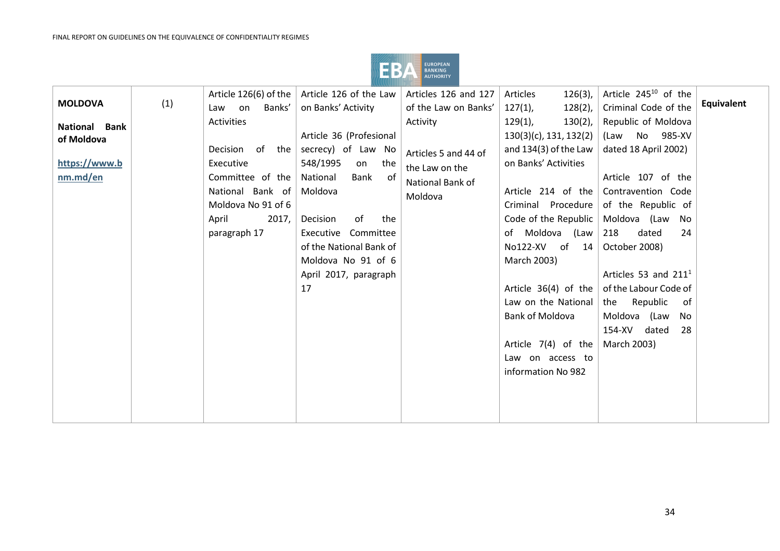

|                      |     |                    | Article 126(6) of the $\vert$ Article 126 of the Law $\vert$ | Articles 126 and 127 | Articles<br>$126(3)$ ,              | Article $245^{10}$ of the             |            |
|----------------------|-----|--------------------|--------------------------------------------------------------|----------------------|-------------------------------------|---------------------------------------|------------|
| <b>MOLDOVA</b>       | (1) | Banks'<br>Law on   | on Banks' Activity                                           | of the Law on Banks' | $127(1)$ ,<br>$128(2)$ ,            | Criminal Code of the                  | Equivalent |
| <b>National Bank</b> |     | Activities         |                                                              | Activity             | $129(1)$ ,<br>$130(2)$ ,            | Republic of Moldova                   |            |
| of Moldova           |     |                    | Article 36 (Profesional                                      |                      | $130(3)(c)$ , 131, 132(2)           | (Law No 985-XV                        |            |
|                      |     | Decision of the    | secrecy) of Law No                                           | Articles 5 and 44 of | and 134(3) of the Law $\vert$       | dated 18 April 2002)                  |            |
| https://www.b        |     | Executive          | 548/1995<br>the<br>on                                        | the Law on the       | on Banks' Activities                |                                       |            |
| nm.md/en             |     | Committee of the   | National<br>Bank<br>. of                                     | National Bank of     |                                     | Article 107 of the                    |            |
|                      |     | National Bank of   | Moldova                                                      | Moldova              | Article 214 of the                  | Contravention Code                    |            |
|                      |     | Moldova No 91 of 6 |                                                              |                      |                                     | Criminal Procedure of the Republic of |            |
|                      |     | April<br>2017,     | Decision<br>of<br>the                                        |                      | Code of the Republic   Moldova (Law | No                                    |            |
|                      |     | paragraph 17       | Executive Committee                                          |                      | of Moldova (Law)                    | 218<br>24<br>dated                    |            |
|                      |     |                    | of the National Bank of                                      |                      | No122-XV of<br>14                   | October 2008)                         |            |
|                      |     |                    | Moldova No 91 of 6                                           |                      | March 2003)                         |                                       |            |
|                      |     |                    | April 2017, paragraph                                        |                      |                                     | Articles 53 and 211 <sup>1</sup>      |            |
|                      |     |                    | 17                                                           |                      | Article $36(4)$ of the              | of the Labour Code of                 |            |
|                      |     |                    |                                                              |                      | Law on the National $\vert$ the     | Republic<br>-of                       |            |
|                      |     |                    |                                                              |                      | Bank of Moldova                     | Moldova (Law<br>No                    |            |
|                      |     |                    |                                                              |                      |                                     | 154-XV dated<br>28                    |            |
|                      |     |                    |                                                              |                      | Article 7(4) of the                 | March 2003)                           |            |
|                      |     |                    |                                                              |                      | Law on access to                    |                                       |            |
|                      |     |                    |                                                              |                      | information No 982                  |                                       |            |
|                      |     |                    |                                                              |                      |                                     |                                       |            |
|                      |     |                    |                                                              |                      |                                     |                                       |            |
|                      |     |                    |                                                              |                      |                                     |                                       |            |
|                      |     |                    |                                                              |                      |                                     |                                       |            |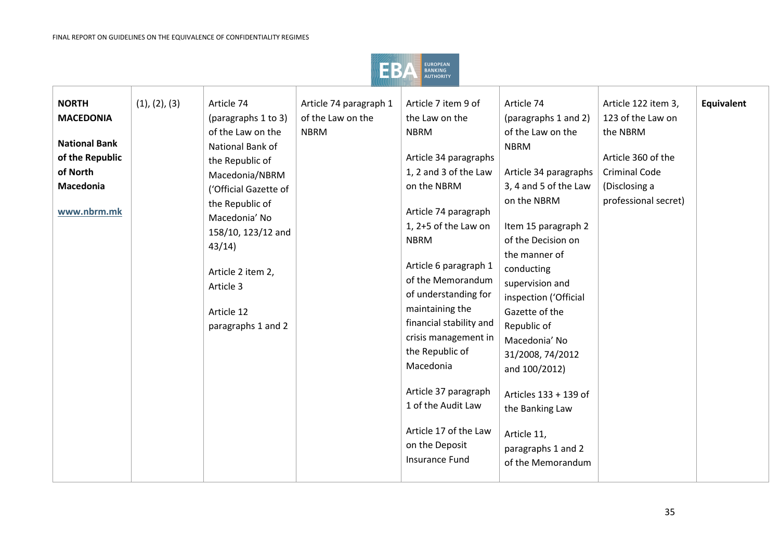

| <b>NORTH</b><br><b>MACEDONIA</b><br><b>National Bank</b><br>of the Republic<br>of North<br>Macedonia<br>www.nbrm.mk | (1), (2), (3) | Article 74<br>(paragraphs 1 to 3)<br>of the Law on the<br>National Bank of<br>the Republic of<br>Macedonia/NBRM<br>('Official Gazette of<br>the Republic of<br>Macedonia' No<br>158/10, 123/12 and<br>43/14)<br>Article 2 item 2,<br>Article 3<br>Article 12<br>paragraphs 1 and 2 | Article 74 paragraph 1<br>of the Law on the<br><b>NBRM</b> | Article 7 item 9 of<br>the Law on the<br><b>NBRM</b><br>Article 34 paragraphs<br>1, 2 and 3 of the Law<br>on the NBRM<br>Article 74 paragraph<br>1, 2+5 of the Law on<br><b>NBRM</b><br>Article 6 paragraph 1<br>of the Memorandum<br>of understanding for<br>maintaining the<br>financial stability and<br>crisis management in<br>the Republic of<br>Macedonia<br>Article 37 paragraph<br>1 of the Audit Law<br>Article 17 of the Law<br>on the Deposit<br>Insurance Fund | Article 74<br>(paragraphs 1 and 2)<br>of the Law on the<br><b>NBRM</b><br>Article 34 paragraphs<br>3, 4 and 5 of the Law<br>on the NBRM<br>Item 15 paragraph 2<br>of the Decision on<br>the manner of<br>conducting<br>supervision and<br>inspection ('Official<br>Gazette of the<br>Republic of<br>Macedonia' No<br>31/2008, 74/2012<br>and 100/2012)<br>Articles 133 + 139 of<br>the Banking Law<br>Article 11,<br>paragraphs 1 and 2<br>of the Memorandum | Article 122 item 3,<br>123 of the Law on<br>the NBRM<br>Article 360 of the<br><b>Criminal Code</b><br>(Disclosing a<br>professional secret) | Equivalent |
|---------------------------------------------------------------------------------------------------------------------|---------------|------------------------------------------------------------------------------------------------------------------------------------------------------------------------------------------------------------------------------------------------------------------------------------|------------------------------------------------------------|-----------------------------------------------------------------------------------------------------------------------------------------------------------------------------------------------------------------------------------------------------------------------------------------------------------------------------------------------------------------------------------------------------------------------------------------------------------------------------|--------------------------------------------------------------------------------------------------------------------------------------------------------------------------------------------------------------------------------------------------------------------------------------------------------------------------------------------------------------------------------------------------------------------------------------------------------------|---------------------------------------------------------------------------------------------------------------------------------------------|------------|
|---------------------------------------------------------------------------------------------------------------------|---------------|------------------------------------------------------------------------------------------------------------------------------------------------------------------------------------------------------------------------------------------------------------------------------------|------------------------------------------------------------|-----------------------------------------------------------------------------------------------------------------------------------------------------------------------------------------------------------------------------------------------------------------------------------------------------------------------------------------------------------------------------------------------------------------------------------------------------------------------------|--------------------------------------------------------------------------------------------------------------------------------------------------------------------------------------------------------------------------------------------------------------------------------------------------------------------------------------------------------------------------------------------------------------------------------------------------------------|---------------------------------------------------------------------------------------------------------------------------------------------|------------|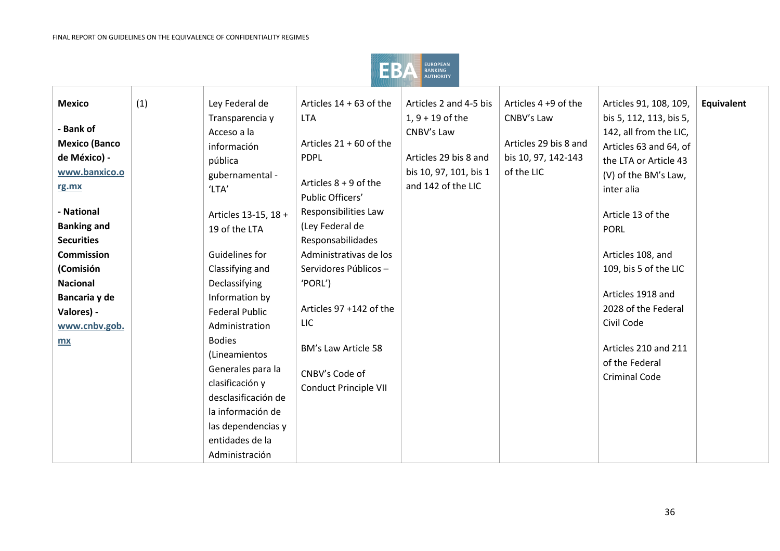

| <b>Mexico</b>        | (1) | Ley Federal de        | Articles $14 + 63$ of the    | Articles 2 and 4-5 bis | Articles 4 +9 of the  | Articles 91, 108, 109,  | <b>Equivalent</b> |
|----------------------|-----|-----------------------|------------------------------|------------------------|-----------------------|-------------------------|-------------------|
|                      |     | Transparencia y       | <b>LTA</b>                   | $1, 9 + 19$ of the     | CNBV's Law            | bis 5, 112, 113, bis 5, |                   |
| - Bank of            |     | Acceso a la           |                              | CNBV's Law             |                       | 142, all from the LIC,  |                   |
| <b>Mexico (Banco</b> |     | información           | Articles $21 + 60$ of the    |                        | Articles 29 bis 8 and | Articles 63 and 64, of  |                   |
| de México) -         |     | pública               | <b>PDPL</b>                  | Articles 29 bis 8 and  | bis 10, 97, 142-143   | the LTA or Article 43   |                   |
| www.banxico.o        |     | gubernamental -       |                              | bis 10, 97, 101, bis 1 | of the LIC            | (V) of the BM's Law,    |                   |
| rg.mx                |     | 'LTA'                 | Articles $8 + 9$ of the      | and 142 of the LIC     |                       | inter alia              |                   |
|                      |     |                       | Public Officers'             |                        |                       |                         |                   |
| - National           |     | Articles 13-15, 18 +  | Responsibilities Law         |                        |                       | Article 13 of the       |                   |
| <b>Banking and</b>   |     | 19 of the LTA         | (Ley Federal de              |                        |                       | <b>PORL</b>             |                   |
| <b>Securities</b>    |     |                       | Responsabilidades            |                        |                       |                         |                   |
| <b>Commission</b>    |     | Guidelines for        | Administrativas de los       |                        |                       | Articles 108, and       |                   |
| (Comisión            |     | Classifying and       | Servidores Públicos -        |                        |                       | 109, bis 5 of the LIC   |                   |
| <b>Nacional</b>      |     | Declassifying         | 'PORL')                      |                        |                       |                         |                   |
| Bancaria y de        |     | Information by        |                              |                        |                       | Articles 1918 and       |                   |
| Valores) -           |     | <b>Federal Public</b> | Articles 97 +142 of the      |                        |                       | 2028 of the Federal     |                   |
| www.cnbv.gob.        |     | Administration        | LIC                          |                        |                       | Civil Code              |                   |
| <b>mx</b>            |     | <b>Bodies</b>         |                              |                        |                       |                         |                   |
|                      |     | (Lineamientos         | BM's Law Article 58          |                        |                       | Articles 210 and 211    |                   |
|                      |     | Generales para la     |                              |                        |                       | of the Federal          |                   |
|                      |     | clasificación y       | CNBV's Code of               |                        |                       | <b>Criminal Code</b>    |                   |
|                      |     | desclasificación de   | <b>Conduct Principle VII</b> |                        |                       |                         |                   |
|                      |     | la información de     |                              |                        |                       |                         |                   |
|                      |     | las dependencias y    |                              |                        |                       |                         |                   |
|                      |     | entidades de la       |                              |                        |                       |                         |                   |
|                      |     |                       |                              |                        |                       |                         |                   |
|                      |     | Administración        |                              |                        |                       |                         |                   |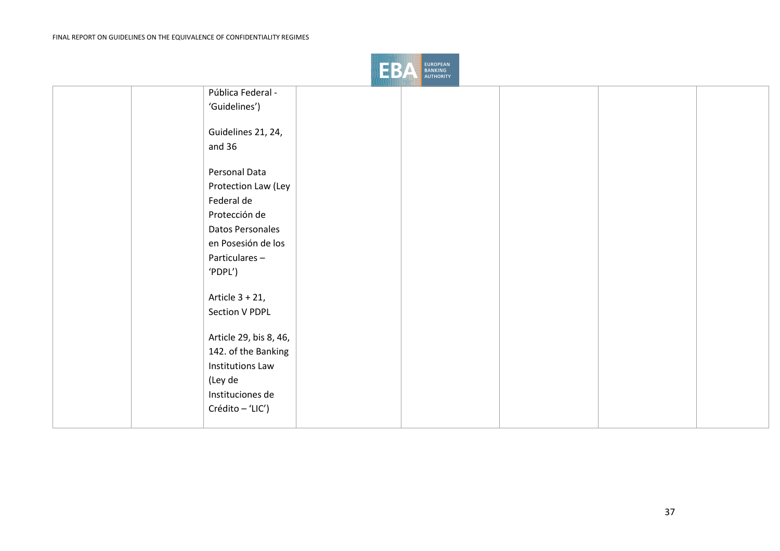

| Pública Federal -      |  |  |  |
|------------------------|--|--|--|
| 'Guidelines')          |  |  |  |
|                        |  |  |  |
| Guidelines 21, 24,     |  |  |  |
| and $36$               |  |  |  |
|                        |  |  |  |
| Personal Data          |  |  |  |
| Protection Law (Ley    |  |  |  |
| Federal de             |  |  |  |
| Protección de          |  |  |  |
| Datos Personales       |  |  |  |
| en Posesión de los     |  |  |  |
| Particulares-          |  |  |  |
| 'PDPL')                |  |  |  |
|                        |  |  |  |
| Article $3 + 21$ ,     |  |  |  |
| Section V PDPL         |  |  |  |
|                        |  |  |  |
| Article 29, bis 8, 46, |  |  |  |
| 142. of the Banking    |  |  |  |
| Institutions Law       |  |  |  |
| (Ley de                |  |  |  |
| Instituciones de       |  |  |  |
| Crédito - 'LIC')       |  |  |  |
|                        |  |  |  |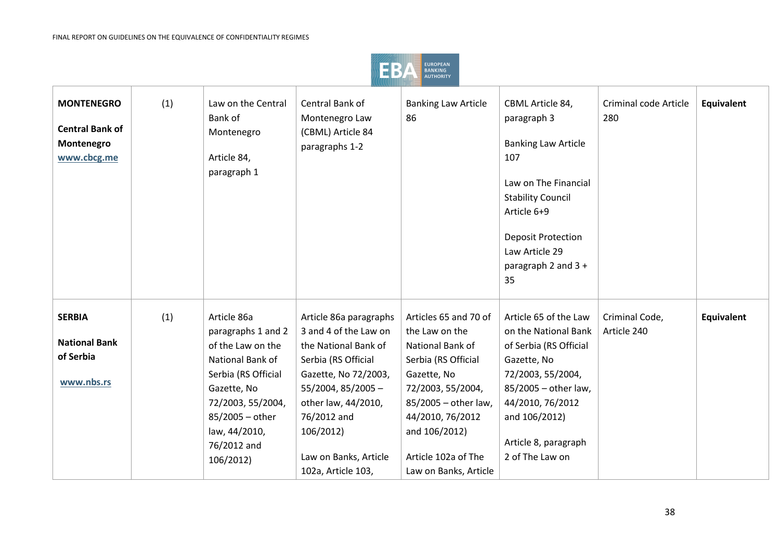

| <b>MONTENEGRO</b><br><b>Central Bank of</b><br>Montenegro<br>www.cbcg.me | (1) | Law on the Central<br>Bank of<br>Montenegro<br>Article 84,<br>paragraph 1                                                                                                                             | Central Bank of<br>Montenegro Law<br>(CBML) Article 84<br>paragraphs 1-2                                                                                                                                                                       | <b>Banking Law Article</b><br>86                                                                                                                                                                                                    | CBML Article 84,<br>paragraph 3<br><b>Banking Law Article</b><br>107<br>Law on The Financial<br><b>Stability Council</b><br>Article 6+9<br><b>Deposit Protection</b><br>Law Article 29<br>paragraph 2 and $3 +$<br>35 | Criminal code Article<br>280  | Equivalent        |
|--------------------------------------------------------------------------|-----|-------------------------------------------------------------------------------------------------------------------------------------------------------------------------------------------------------|------------------------------------------------------------------------------------------------------------------------------------------------------------------------------------------------------------------------------------------------|-------------------------------------------------------------------------------------------------------------------------------------------------------------------------------------------------------------------------------------|-----------------------------------------------------------------------------------------------------------------------------------------------------------------------------------------------------------------------|-------------------------------|-------------------|
| <b>SERBIA</b><br><b>National Bank</b><br>of Serbia<br>www.nbs.rs         | (1) | Article 86a<br>paragraphs 1 and 2<br>of the Law on the<br>National Bank of<br>Serbia (RS Official<br>Gazette, No<br>72/2003, 55/2004,<br>85/2005 - other<br>law, 44/2010,<br>76/2012 and<br>106/2012) | Article 86a paragraphs<br>3 and 4 of the Law on<br>the National Bank of<br>Serbia (RS Official<br>Gazette, No 72/2003,<br>55/2004, 85/2005 -<br>other law, 44/2010,<br>76/2012 and<br>106/2012)<br>Law on Banks, Article<br>102a, Article 103, | Articles 65 and 70 of<br>the Law on the<br>National Bank of<br>Serbia (RS Official<br>Gazette, No<br>72/2003, 55/2004,<br>85/2005 - other law,<br>44/2010, 76/2012<br>and 106/2012)<br>Article 102a of The<br>Law on Banks, Article | Article 65 of the Law<br>on the National Bank<br>of Serbia (RS Official<br>Gazette, No<br>72/2003, 55/2004,<br>85/2005 - other law,<br>44/2010, 76/2012<br>and 106/2012)<br>Article 8, paragraph<br>2 of The Law on   | Criminal Code,<br>Article 240 | <b>Equivalent</b> |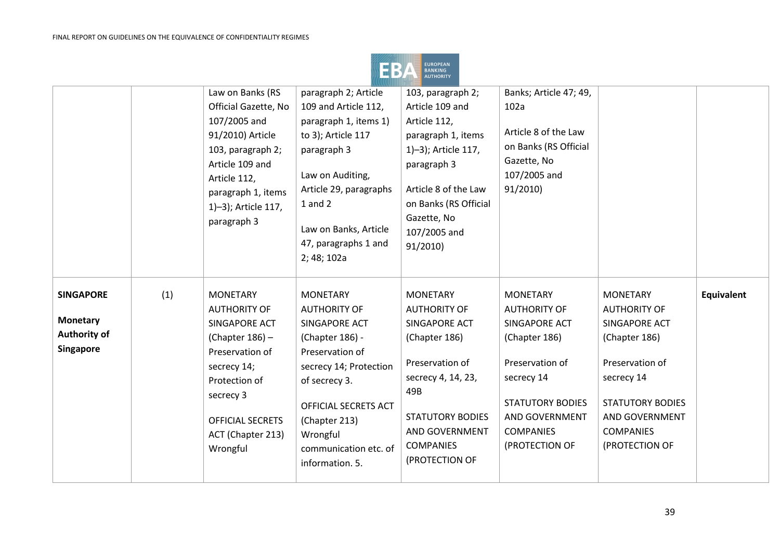

|                                                                                |     | Law on Banks (RS<br>Official Gazette, No<br>107/2005 and<br>91/2010) Article<br>103, paragraph 2;<br>Article 109 and<br>Article 112,<br>paragraph 1, items<br>1)-3); Article 117,<br>paragraph 3       | paragraph 2; Article<br>109 and Article 112,<br>paragraph 1, items 1)<br>to 3); Article 117<br>paragraph 3<br>Law on Auditing,<br>Article 29, paragraphs<br>$1$ and $2$<br>Law on Banks, Article<br>47, paragraphs 1 and<br>2; 48; 102a   | 103, paragraph 2;<br>Article 109 and<br>Article 112,<br>paragraph 1, items<br>1)-3); Article 117,<br>paragraph 3<br>Article 8 of the Law<br>on Banks (RS Official<br>Gazette, No<br>107/2005 and<br>91/2010) | Banks; Article 47; 49,<br>102a<br>Article 8 of the Law<br>on Banks (RS Official<br>Gazette, No<br>107/2005 and<br>91/2010                                                                    |                                                                                                                                                                                              |            |
|--------------------------------------------------------------------------------|-----|--------------------------------------------------------------------------------------------------------------------------------------------------------------------------------------------------------|-------------------------------------------------------------------------------------------------------------------------------------------------------------------------------------------------------------------------------------------|--------------------------------------------------------------------------------------------------------------------------------------------------------------------------------------------------------------|----------------------------------------------------------------------------------------------------------------------------------------------------------------------------------------------|----------------------------------------------------------------------------------------------------------------------------------------------------------------------------------------------|------------|
| <b>SINGAPORE</b><br><b>Monetary</b><br><b>Authority of</b><br><b>Singapore</b> | (1) | <b>MONETARY</b><br><b>AUTHORITY OF</b><br>SINGAPORE ACT<br>(Chapter 186) -<br>Preservation of<br>secrecy 14;<br>Protection of<br>secrecy 3<br><b>OFFICIAL SECRETS</b><br>ACT (Chapter 213)<br>Wrongful | <b>MONETARY</b><br><b>AUTHORITY OF</b><br>SINGAPORE ACT<br>(Chapter 186) -<br>Preservation of<br>secrecy 14; Protection<br>of secrecy 3.<br>OFFICIAL SECRETS ACT<br>(Chapter 213)<br>Wrongful<br>communication etc. of<br>information. 5. | <b>MONETARY</b><br><b>AUTHORITY OF</b><br>SINGAPORE ACT<br>(Chapter 186)<br>Preservation of<br>secrecy 4, 14, 23,<br>49B<br><b>STATUTORY BODIES</b><br>AND GOVERNMENT<br><b>COMPANIES</b><br>(PROTECTION OF  | <b>MONETARY</b><br><b>AUTHORITY OF</b><br>SINGAPORE ACT<br>(Chapter 186)<br>Preservation of<br>secrecy 14<br><b>STATUTORY BODIES</b><br>AND GOVERNMENT<br><b>COMPANIES</b><br>(PROTECTION OF | <b>MONETARY</b><br><b>AUTHORITY OF</b><br>SINGAPORE ACT<br>(Chapter 186)<br>Preservation of<br>secrecy 14<br><b>STATUTORY BODIES</b><br>AND GOVERNMENT<br><b>COMPANIES</b><br>(PROTECTION OF | Equivalent |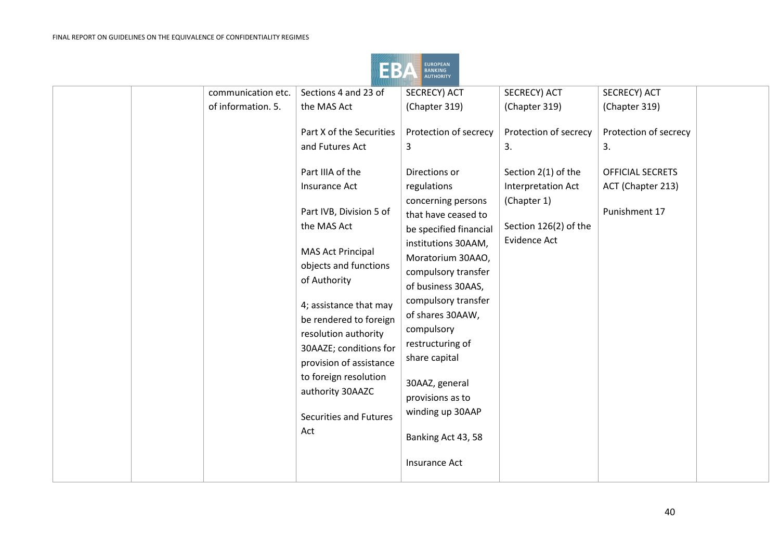

| communication etc. | Sections 4 and 23 of     | SECRECY) ACT           | SECRECY) ACT              | SECRECY) ACT            |
|--------------------|--------------------------|------------------------|---------------------------|-------------------------|
| of information. 5. | the MAS Act              | (Chapter 319)          | (Chapter 319)             | (Chapter 319)           |
|                    |                          |                        |                           |                         |
|                    | Part X of the Securities | Protection of secrecy  | Protection of secrecy     | Protection of secrecy   |
|                    | and Futures Act          | 3                      | 3.                        | 3.                      |
|                    |                          |                        |                           |                         |
|                    | Part IIIA of the         | Directions or          | Section 2(1) of the       | <b>OFFICIAL SECRETS</b> |
|                    | <b>Insurance Act</b>     | regulations            | <b>Interpretation Act</b> | ACT (Chapter 213)       |
|                    |                          | concerning persons     | (Chapter 1)               |                         |
|                    | Part IVB, Division 5 of  | that have ceased to    |                           | Punishment 17           |
|                    | the MAS Act              | be specified financial | Section 126(2) of the     |                         |
|                    |                          | institutions 30AAM,    | Evidence Act              |                         |
|                    | <b>MAS Act Principal</b> | Moratorium 30AAO,      |                           |                         |
|                    | objects and functions    | compulsory transfer    |                           |                         |
|                    | of Authority             | of business 30AAS,     |                           |                         |
|                    |                          |                        |                           |                         |
|                    | 4; assistance that may   | compulsory transfer    |                           |                         |
|                    | be rendered to foreign   | of shares 30AAW,       |                           |                         |
|                    | resolution authority     | compulsory             |                           |                         |
|                    | 30AAZE; conditions for   | restructuring of       |                           |                         |
|                    | provision of assistance  | share capital          |                           |                         |
|                    | to foreign resolution    |                        |                           |                         |
|                    | authority 30AAZC         | 30AAZ, general         |                           |                         |
|                    |                          | provisions as to       |                           |                         |
|                    | Securities and Futures   | winding up 30AAP       |                           |                         |
|                    | Act                      |                        |                           |                         |
|                    |                          | Banking Act 43, 58     |                           |                         |
|                    |                          |                        |                           |                         |
|                    |                          | Insurance Act          |                           |                         |
|                    |                          |                        |                           |                         |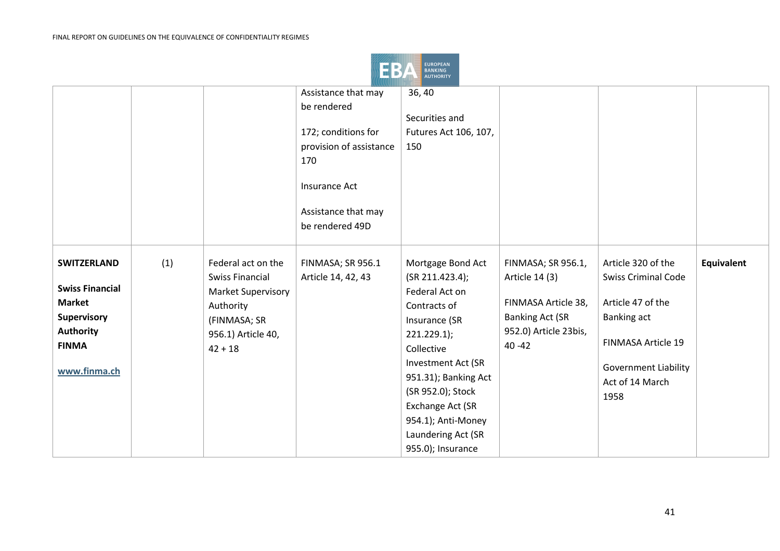

|                        |     |                           | Assistance that may     | 36, 40                |                        |                             |            |
|------------------------|-----|---------------------------|-------------------------|-----------------------|------------------------|-----------------------------|------------|
|                        |     |                           | be rendered             |                       |                        |                             |            |
|                        |     |                           |                         | Securities and        |                        |                             |            |
|                        |     |                           | 172; conditions for     | Futures Act 106, 107, |                        |                             |            |
|                        |     |                           | provision of assistance | 150                   |                        |                             |            |
|                        |     |                           | 170                     |                       |                        |                             |            |
|                        |     |                           |                         |                       |                        |                             |            |
|                        |     |                           | Insurance Act           |                       |                        |                             |            |
|                        |     |                           |                         |                       |                        |                             |            |
|                        |     |                           | Assistance that may     |                       |                        |                             |            |
|                        |     |                           | be rendered 49D         |                       |                        |                             |            |
|                        |     |                           |                         |                       |                        |                             |            |
| <b>SWITZERLAND</b>     | (1) | Federal act on the        | FINMASA; SR 956.1       | Mortgage Bond Act     | FINMASA; SR 956.1,     | Article 320 of the          | Equivalent |
|                        |     | <b>Swiss Financial</b>    | Article 14, 42, 43      | (SR 211.423.4);       | Article 14 (3)         | <b>Swiss Criminal Code</b>  |            |
| <b>Swiss Financial</b> |     | <b>Market Supervisory</b> |                         | Federal Act on        |                        |                             |            |
| <b>Market</b>          |     | Authority                 |                         | Contracts of          | FINMASA Article 38,    | Article 47 of the           |            |
| <b>Supervisory</b>     |     | (FINMASA; SR              |                         | Insurance (SR         | <b>Banking Act (SR</b> | Banking act                 |            |
| <b>Authority</b>       |     | 956.1) Article 40,        |                         | 221.229.1             | 952.0) Article 23bis,  |                             |            |
| <b>FINMA</b>           |     | $42 + 18$                 |                         | Collective            | $40 - 42$              | FINMASA Article 19          |            |
|                        |     |                           |                         |                       |                        |                             |            |
| www.finma.ch           |     |                           |                         | Investment Act (SR    |                        | <b>Government Liability</b> |            |
|                        |     |                           |                         | 951.31); Banking Act  |                        | Act of 14 March             |            |
|                        |     |                           |                         | (SR 952.0); Stock     |                        | 1958                        |            |
|                        |     |                           |                         | Exchange Act (SR      |                        |                             |            |
|                        |     |                           |                         | 954.1); Anti-Money    |                        |                             |            |
|                        |     |                           |                         | Laundering Act (SR    |                        |                             |            |
|                        |     |                           |                         | 955.0); Insurance     |                        |                             |            |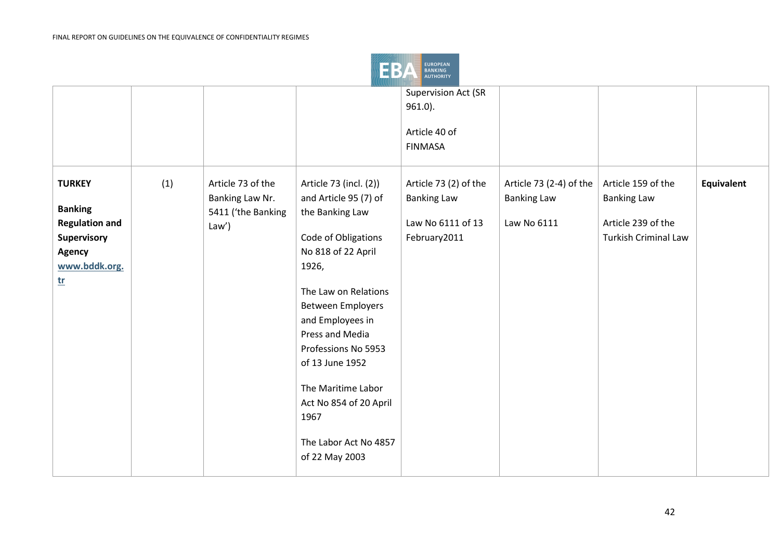

|                                                                                                                   |     |                                                                       |                                                                                                                                                                                                                                                                                                                                                                  | <b>Supervision Act (SR</b><br>$961.0$ ).<br>Article 40 of<br><b>FINMASA</b>      |                                                              |                                                                                               |            |
|-------------------------------------------------------------------------------------------------------------------|-----|-----------------------------------------------------------------------|------------------------------------------------------------------------------------------------------------------------------------------------------------------------------------------------------------------------------------------------------------------------------------------------------------------------------------------------------------------|----------------------------------------------------------------------------------|--------------------------------------------------------------|-----------------------------------------------------------------------------------------------|------------|
| <b>TURKEY</b><br><b>Banking</b><br><b>Regulation and</b><br>Supervisory<br><b>Agency</b><br>www.bddk.org.<br>$tr$ | (1) | Article 73 of the<br>Banking Law Nr.<br>5411 ('the Banking<br>$Law$ ) | Article 73 (incl. (2))<br>and Article 95 (7) of<br>the Banking Law<br>Code of Obligations<br>No 818 of 22 April<br>1926,<br>The Law on Relations<br><b>Between Employers</b><br>and Employees in<br>Press and Media<br>Professions No 5953<br>of 13 June 1952<br>The Maritime Labor<br>Act No 854 of 20 April<br>1967<br>The Labor Act No 4857<br>of 22 May 2003 | Article 73 (2) of the<br><b>Banking Law</b><br>Law No 6111 of 13<br>February2011 | Article 73 (2-4) of the<br><b>Banking Law</b><br>Law No 6111 | Article 159 of the<br><b>Banking Law</b><br>Article 239 of the<br><b>Turkish Criminal Law</b> | Equivalent |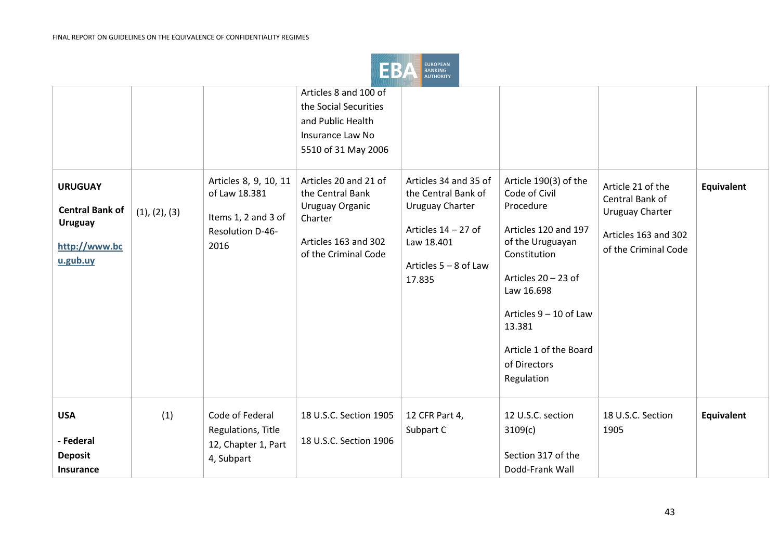

|                                                                                         |               |                                                                                           | Articles 8 and 100 of<br>the Social Securities<br>and Public Health<br>Insurance Law No<br>5510 of 31 May 2006          |                                                                                                                                             |                                                                                                                                                                                                                                                  |                                                                                                                |                   |
|-----------------------------------------------------------------------------------------|---------------|-------------------------------------------------------------------------------------------|-------------------------------------------------------------------------------------------------------------------------|---------------------------------------------------------------------------------------------------------------------------------------------|--------------------------------------------------------------------------------------------------------------------------------------------------------------------------------------------------------------------------------------------------|----------------------------------------------------------------------------------------------------------------|-------------------|
| <b>URUGUAY</b><br><b>Central Bank of</b><br><b>Uruguay</b><br>http://www.bc<br>u.gub.uy | (1), (2), (3) | Articles 8, 9, 10, 11<br>of Law 18.381<br>Items 1, 2 and 3 of<br>Resolution D-46-<br>2016 | Articles 20 and 21 of<br>the Central Bank<br>Uruguay Organic<br>Charter<br>Articles 163 and 302<br>of the Criminal Code | Articles 34 and 35 of<br>the Central Bank of<br>Uruguay Charter<br>Articles $14 - 27$ of<br>Law 18.401<br>Articles $5 - 8$ of Law<br>17.835 | Article 190(3) of the<br>Code of Civil<br>Procedure<br>Articles 120 and 197<br>of the Uruguayan<br>Constitution<br>Articles 20 - 23 of<br>Law 16.698<br>Articles 9 - 10 of Law<br>13.381<br>Article 1 of the Board<br>of Directors<br>Regulation | Article 21 of the<br>Central Bank of<br><b>Uruguay Charter</b><br>Articles 163 and 302<br>of the Criminal Code | <b>Equivalent</b> |
| <b>USA</b><br>- Federal<br><b>Deposit</b><br>Insurance                                  | (1)           | Code of Federal<br>Regulations, Title<br>12, Chapter 1, Part<br>4, Subpart                | 18 U.S.C. Section 1905<br>18 U.S.C. Section 1906                                                                        | 12 CFR Part 4,<br>Subpart C                                                                                                                 | 12 U.S.C. section<br>3109(c)<br>Section 317 of the<br>Dodd-Frank Wall                                                                                                                                                                            | 18 U.S.C. Section<br>1905                                                                                      | <b>Equivalent</b> |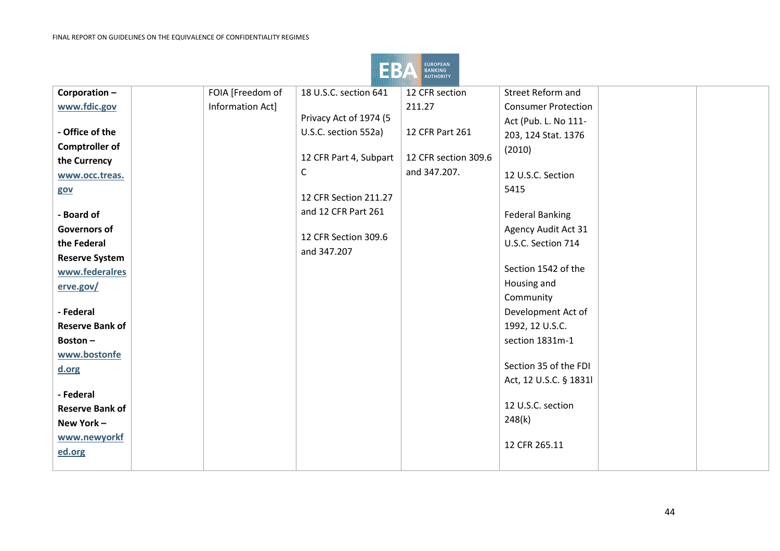

| Corporation-           | FOIA [Freedom of | 18 U.S.C. section 641  | 12 CFR section       | Street Reform and          |  |
|------------------------|------------------|------------------------|----------------------|----------------------------|--|
| www.fdic.gov           | Information Act] |                        | 211.27               | <b>Consumer Protection</b> |  |
|                        |                  | Privacy Act of 1974 (5 |                      | Act (Pub. L. No 111-       |  |
| - Office of the        |                  | U.S.C. section 552a)   | 12 CFR Part 261      | 203, 124 Stat. 1376        |  |
| <b>Comptroller of</b>  |                  |                        |                      | (2010)                     |  |
| the Currency           |                  | 12 CFR Part 4, Subpart | 12 CFR section 309.6 |                            |  |
| www.occ.treas.         |                  | $\mathsf{C}$           | and 347.207.         | 12 U.S.C. Section          |  |
| gov                    |                  |                        |                      | 5415                       |  |
|                        |                  | 12 CFR Section 211.27  |                      |                            |  |
| - Board of             |                  | and 12 CFR Part 261    |                      | <b>Federal Banking</b>     |  |
| Governors of           |                  | 12 CFR Section 309.6   |                      | Agency Audit Act 31        |  |
| the Federal            |                  |                        |                      | U.S.C. Section 714         |  |
| <b>Reserve System</b>  |                  | and 347.207            |                      |                            |  |
| www.federalres         |                  |                        |                      | Section 1542 of the        |  |
| erve.gov/              |                  |                        |                      | Housing and                |  |
|                        |                  |                        |                      | Community                  |  |
| - Federal              |                  |                        |                      | Development Act of         |  |
| <b>Reserve Bank of</b> |                  |                        |                      | 1992, 12 U.S.C.            |  |
| Boston-                |                  |                        |                      | section 1831m-1            |  |
| www.bostonfe           |                  |                        |                      |                            |  |
| d.org                  |                  |                        |                      | Section 35 of the FDI      |  |
|                        |                  |                        |                      | Act, 12 U.S.C. § 1831l     |  |
| - Federal              |                  |                        |                      |                            |  |
| <b>Reserve Bank of</b> |                  |                        |                      | 12 U.S.C. section          |  |
| New York-              |                  |                        |                      | 248(k)                     |  |
| www.newyorkf           |                  |                        |                      |                            |  |
| ed.org                 |                  |                        |                      | 12 CFR 265.11              |  |
|                        |                  |                        |                      |                            |  |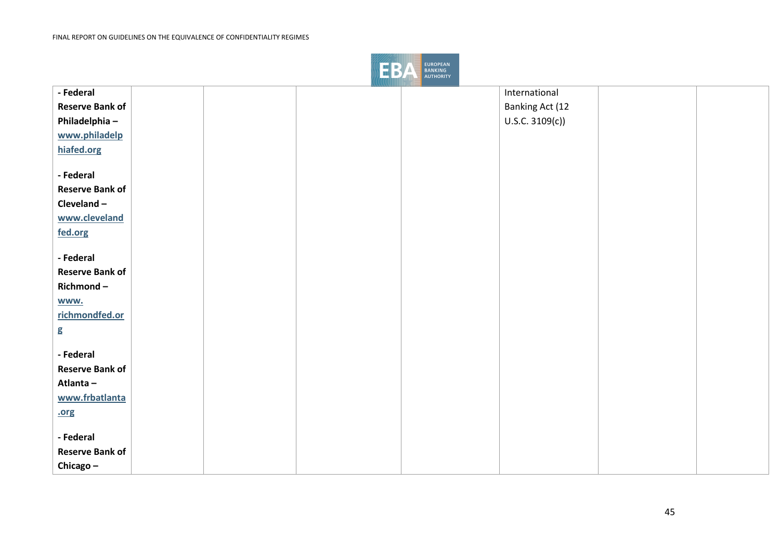

| - Federal              | International          |
|------------------------|------------------------|
| <b>Reserve Bank of</b> | <b>Banking Act (12</b> |
| Philadelphia-          | U.S.C. 3109(c))        |
| www.philadelp          |                        |
| hiafed.org             |                        |
|                        |                        |
| - Federal              |                        |
| <b>Reserve Bank of</b> |                        |
| Cleveland-             |                        |
| www.cleveland          |                        |
| fed.org                |                        |
|                        |                        |
| - Federal              |                        |
| <b>Reserve Bank of</b> |                        |
| Richmond-              |                        |
| www.                   |                        |
| richmondfed.or         |                        |
| g                      |                        |
|                        |                        |
| - Federal              |                        |
| <b>Reserve Bank of</b> |                        |
| Atlanta-               |                        |
| www.frbatlanta         |                        |
| .org                   |                        |
|                        |                        |
| - Federal              |                        |
| <b>Reserve Bank of</b> |                        |
| Chicago-               |                        |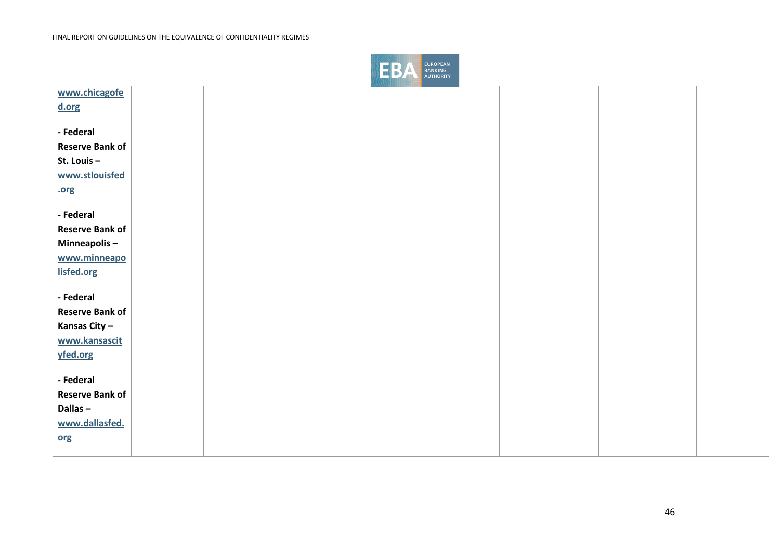

| www.chicagofe          |  |  |  |  |
|------------------------|--|--|--|--|
| d.org                  |  |  |  |  |
|                        |  |  |  |  |
| - Federal              |  |  |  |  |
| <b>Reserve Bank of</b> |  |  |  |  |
| St. Louis $-$          |  |  |  |  |
| www.stlouisfed         |  |  |  |  |
| .org                   |  |  |  |  |
|                        |  |  |  |  |
| - Federal              |  |  |  |  |
| <b>Reserve Bank of</b> |  |  |  |  |
| Minneapolis-           |  |  |  |  |
| www.minneapo           |  |  |  |  |
| lisfed.org             |  |  |  |  |
| - Federal              |  |  |  |  |
| <b>Reserve Bank of</b> |  |  |  |  |
| Kansas City-           |  |  |  |  |
| www.kansascit          |  |  |  |  |
| yfed.org               |  |  |  |  |
|                        |  |  |  |  |
| - Federal              |  |  |  |  |
| <b>Reserve Bank of</b> |  |  |  |  |
| Dallas-                |  |  |  |  |
| www.dallasfed.         |  |  |  |  |
| org                    |  |  |  |  |
|                        |  |  |  |  |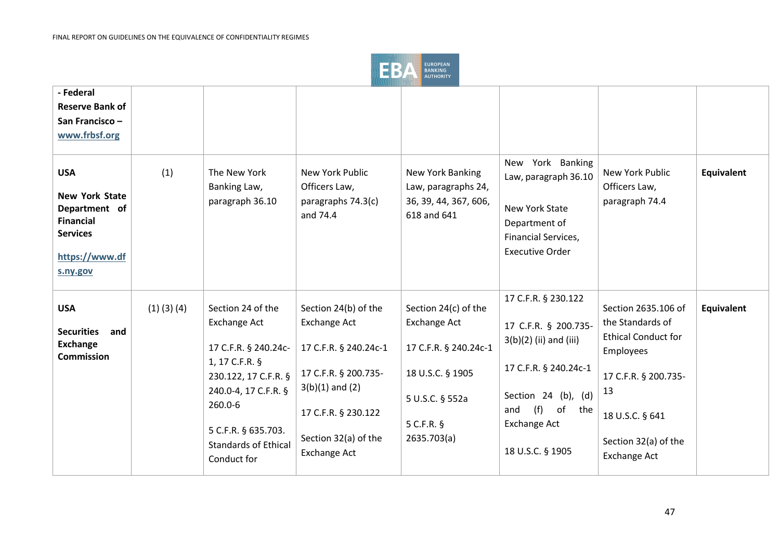

| - Federal<br><b>Reserve Bank of</b><br>San Francisco -<br>www.frbsf.org                                                   |                   |                                                                                                                                                                                                                    |                                                                                                                                                                                           |                                                                                                                                            |                                                                                                                                                                                            |                                                                                                                                                                                    |                   |
|---------------------------------------------------------------------------------------------------------------------------|-------------------|--------------------------------------------------------------------------------------------------------------------------------------------------------------------------------------------------------------------|-------------------------------------------------------------------------------------------------------------------------------------------------------------------------------------------|--------------------------------------------------------------------------------------------------------------------------------------------|--------------------------------------------------------------------------------------------------------------------------------------------------------------------------------------------|------------------------------------------------------------------------------------------------------------------------------------------------------------------------------------|-------------------|
| <b>USA</b><br><b>New York State</b><br>Department of<br><b>Financial</b><br><b>Services</b><br>https://www.df<br>s.ny.gov | (1)               | The New York<br>Banking Law,<br>paragraph 36.10                                                                                                                                                                    | New York Public<br>Officers Law,<br>paragraphs 74.3(c)<br>and 74.4                                                                                                                        | New York Banking<br>Law, paragraphs 24,<br>36, 39, 44, 367, 606,<br>618 and 641                                                            | New York Banking<br>Law, paragraph 36.10<br>New York State<br>Department of<br>Financial Services,<br><b>Executive Order</b>                                                               | New York Public<br>Officers Law,<br>paragraph 74.4                                                                                                                                 | <b>Equivalent</b> |
| <b>USA</b><br><b>Securities</b><br>and<br><b>Exchange</b><br><b>Commission</b>                                            | $(1)$ $(3)$ $(4)$ | Section 24 of the<br><b>Exchange Act</b><br>17 C.F.R. § 240.24c-<br>1, 17 C.F.R. §<br>230.122, 17 C.F.R. §<br>240.0-4, 17 C.F.R. §<br>260.0-6<br>5 C.F.R. § 635.703.<br><b>Standards of Ethical</b><br>Conduct for | Section 24(b) of the<br><b>Exchange Act</b><br>17 C.F.R. § 240.24c-1<br>17 C.F.R. § 200.735-<br>$3(b)(1)$ and $(2)$<br>17 C.F.R. § 230.122<br>Section 32(a) of the<br><b>Exchange Act</b> | Section 24(c) of the<br><b>Exchange Act</b><br>17 C.F.R. § 240.24c-1<br>18 U.S.C. § 1905<br>5 U.S.C. § 552a<br>5 C.F.R. $§$<br>2635.703(a) | 17 C.F.R. § 230.122<br>17 C.F.R. § 200.735-<br>$3(b)(2)$ (ii) and (iii)<br>17 C.F.R. § 240.24c-1<br>Section 24 (b), (d)<br>(f)<br>of the<br>and<br><b>Exchange Act</b><br>18 U.S.C. § 1905 | Section 2635.106 of<br>the Standards of<br><b>Ethical Conduct for</b><br>Employees<br>17 C.F.R. § 200.735-<br>13<br>18 U.S.C. § 641<br>Section 32(a) of the<br><b>Exchange Act</b> | <b>Equivalent</b> |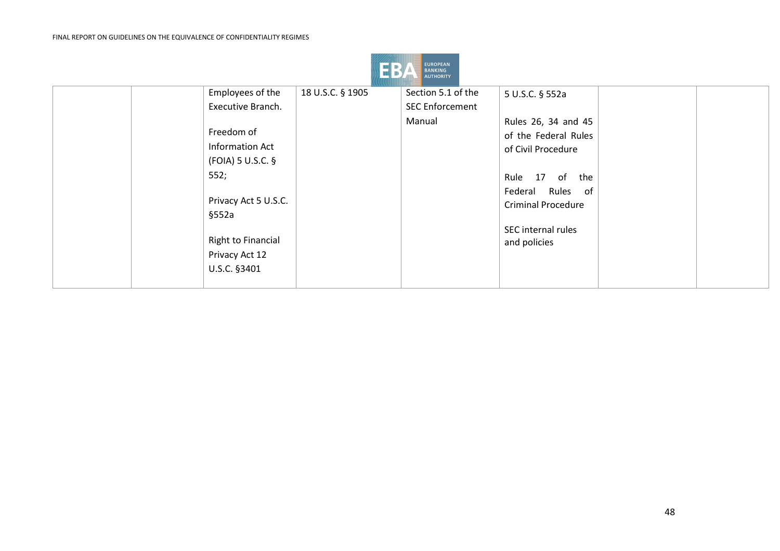

| Employees of the          | 18 U.S.C. § 1905 | Section 5.1 of the     | 5 U.S.C. § 552a           |  |
|---------------------------|------------------|------------------------|---------------------------|--|
| Executive Branch.         |                  | <b>SEC Enforcement</b> |                           |  |
|                           |                  | Manual                 | Rules 26, 34 and 45       |  |
| Freedom of                |                  |                        | of the Federal Rules      |  |
| <b>Information Act</b>    |                  |                        | of Civil Procedure        |  |
| $(FOIA)$ 5 U.S.C. §       |                  |                        |                           |  |
| 552;                      |                  |                        | Rule 17 of<br>the         |  |
|                           |                  |                        | Federal Rules of          |  |
| Privacy Act 5 U.S.C.      |                  |                        | <b>Criminal Procedure</b> |  |
| §552a                     |                  |                        |                           |  |
|                           |                  |                        | SEC internal rules        |  |
| <b>Right to Financial</b> |                  |                        | and policies              |  |
| Privacy Act 12            |                  |                        |                           |  |
| U.S.C. §3401              |                  |                        |                           |  |
|                           |                  |                        |                           |  |